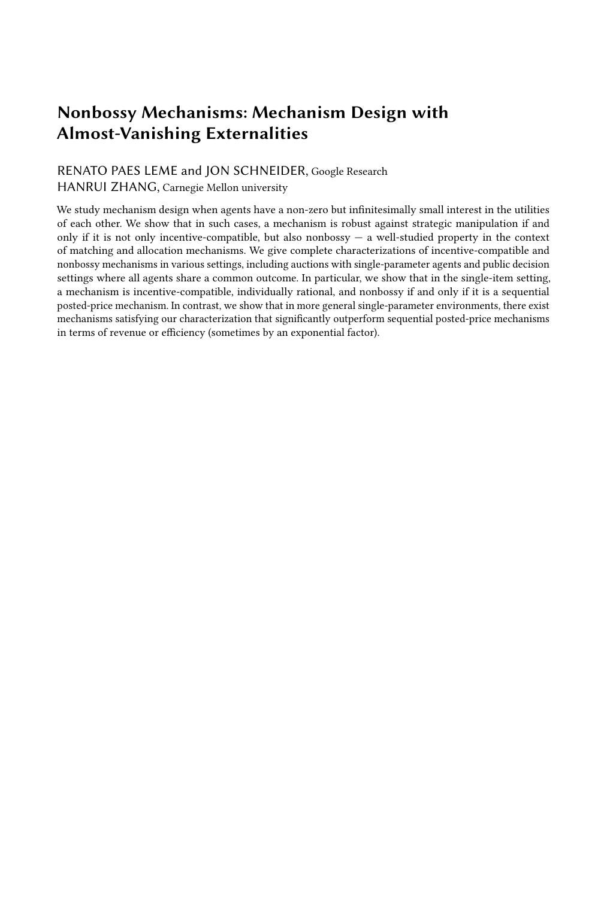# Nonbossy Mechanisms: Mechanism Design with Almost-Vanishing Externalities

## RENATO PAES LEME and JON SCHNEIDER, Google Research HANRUI ZHANG, Carnegie Mellon university

We study mechanism design when agents have a non-zero but infinitesimally small interest in the utilities of each other. We show that in such cases, a mechanism is robust against strategic manipulation if and only if it is not only incentive-compatible, but also nonbossy — a well-studied property in the context of matching and allocation mechanisms. We give complete characterizations of incentive-compatible and nonbossy mechanisms in various settings, including auctions with single-parameter agents and public decision settings where all agents share a common outcome. In particular, we show that in the single-item setting, a mechanism is incentive-compatible, individually rational, and nonbossy if and only if it is a sequential posted-price mechanism. In contrast, we show that in more general single-parameter environments, there exist mechanisms satisfying our characterization that significantly outperform sequential posted-price mechanisms in terms of revenue or efficiency (sometimes by an exponential factor).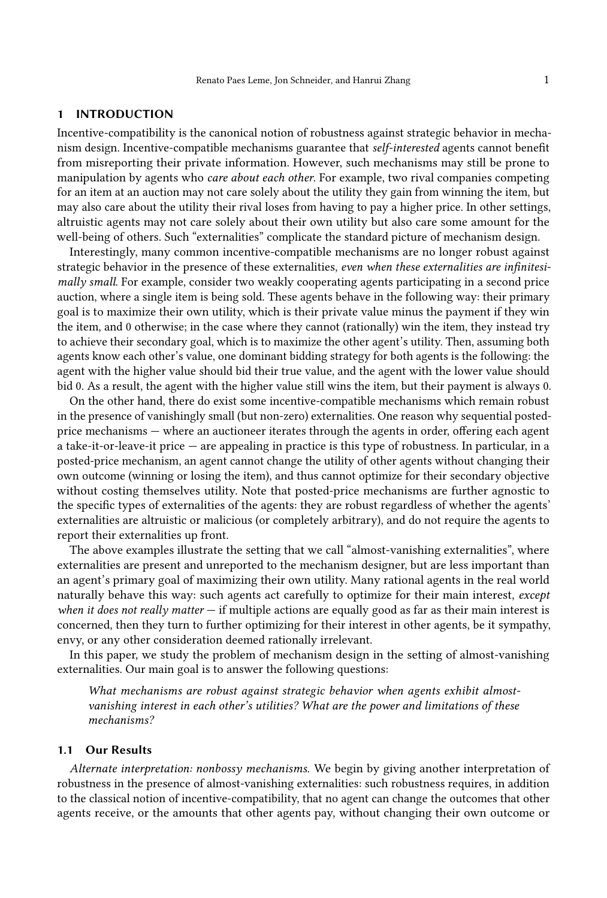#### 1 INTRODUCTION

Incentive-compatibility is the canonical notion of robustness against strategic behavior in mechanism design. Incentive-compatible mechanisms guarantee that self-interested agents cannot benefit from misreporting their private information. However, such mechanisms may still be prone to manipulation by agents who care about each other. For example, two rival companies competing for an item at an auction may not care solely about the utility they gain from winning the item, but may also care about the utility their rival loses from having to pay a higher price. In other settings, altruistic agents may not care solely about their own utility but also care some amount for the well-being of others. Such "externalities" complicate the standard picture of mechanism design.

Interestingly, many common incentive-compatible mechanisms are no longer robust against strategic behavior in the presence of these externalities, even when these externalities are infinitesimally small. For example, consider two weakly cooperating agents participating in a second price auction, where a single item is being sold. These agents behave in the following way: their primary goal is to maximize their own utility, which is their private value minus the payment if they win the item, and 0 otherwise; in the case where they cannot (rationally) win the item, they instead try to achieve their secondary goal, which is to maximize the other agent's utility. Then, assuming both agents know each other's value, one dominant bidding strategy for both agents is the following: the agent with the higher value should bid their true value, and the agent with the lower value should bid 0. As a result, the agent with the higher value still wins the item, but their payment is always 0.

On the other hand, there do exist some incentive-compatible mechanisms which remain robust in the presence of vanishingly small (but non-zero) externalities. One reason why sequential postedprice mechanisms — where an auctioneer iterates through the agents in order, offering each agent a take-it-or-leave-it price — are appealing in practice is this type of robustness. In particular, in a posted-price mechanism, an agent cannot change the utility of other agents without changing their own outcome (winning or losing the item), and thus cannot optimize for their secondary objective without costing themselves utility. Note that posted-price mechanisms are further agnostic to the specific types of externalities of the agents: they are robust regardless of whether the agents' externalities are altruistic or malicious (or completely arbitrary), and do not require the agents to report their externalities up front.

The above examples illustrate the setting that we call "almost-vanishing externalities", where externalities are present and unreported to the mechanism designer, but are less important than an agent's primary goal of maximizing their own utility. Many rational agents in the real world naturally behave this way: such agents act carefully to optimize for their main interest, except when it does not really matter  $-$  if multiple actions are equally good as far as their main interest is concerned, then they turn to further optimizing for their interest in other agents, be it sympathy, envy, or any other consideration deemed rationally irrelevant.

In this paper, we study the problem of mechanism design in the setting of almost-vanishing externalities. Our main goal is to answer the following questions:

What mechanisms are robust against strategic behavior when agents exhibit almostvanishing interest in each other's utilities? What are the power and limitations of these mechanisms?

## 1.1 Our Results

Alternate interpretation: nonbossy mechanisms. We begin by giving another interpretation of robustness in the presence of almost-vanishing externalities: such robustness requires, in addition to the classical notion of incentive-compatibility, that no agent can change the outcomes that other agents receive, or the amounts that other agents pay, without changing their own outcome or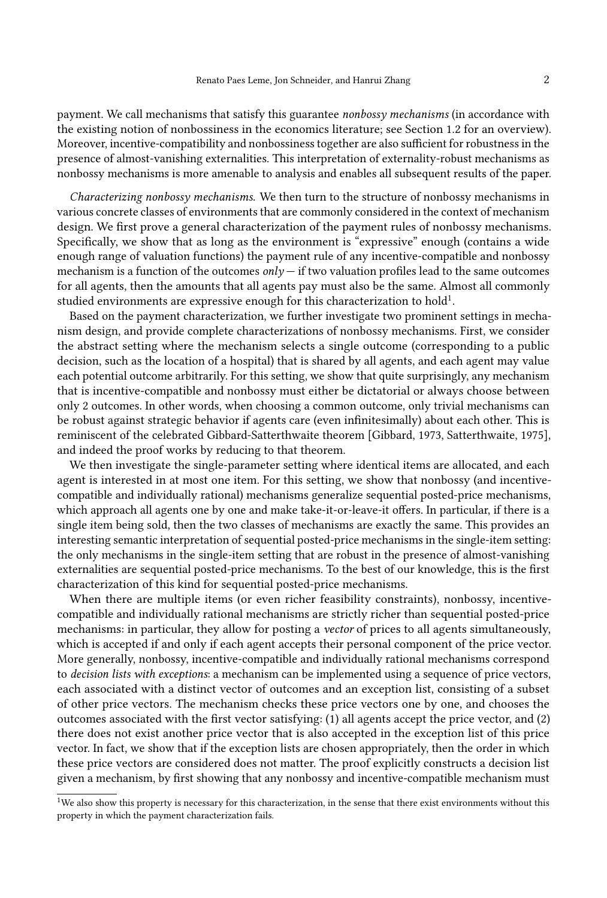payment. We call mechanisms that satisfy this guarantee nonbossy mechanisms (in accordance with the existing notion of nonbossiness in the economics literature; see Section [1.2](#page-3-0) for an overview). Moreover, incentive-compatibility and nonbossiness together are also sufficient for robustness in the presence of almost-vanishing externalities. This interpretation of externality-robust mechanisms as nonbossy mechanisms is more amenable to analysis and enables all subsequent results of the paper.

Characterizing nonbossy mechanisms. We then turn to the structure of nonbossy mechanisms in various concrete classes of environments that are commonly considered in the context of mechanism design. We first prove a general characterization of the payment rules of nonbossy mechanisms. Specifically, we show that as long as the environment is "expressive" enough (contains a wide enough range of valuation functions) the payment rule of any incentive-compatible and nonbossy mechanism is a function of the outcomes  $\omega l_y$  — if two valuation profiles lead to the same outcomes for all agents, then the amounts that all agents pay must also be the same. Almost all commonly studied environments are expressive enough for this characterization to hold<sup>[1](#page-2-0)</sup>.

Based on the payment characterization, we further investigate two prominent settings in mechanism design, and provide complete characterizations of nonbossy mechanisms. First, we consider the abstract setting where the mechanism selects a single outcome (corresponding to a public decision, such as the location of a hospital) that is shared by all agents, and each agent may value each potential outcome arbitrarily. For this setting, we show that quite surprisingly, any mechanism that is incentive-compatible and nonbossy must either be dictatorial or always choose between only 2 outcomes. In other words, when choosing a common outcome, only trivial mechanisms can be robust against strategic behavior if agents care (even infinitesimally) about each other. This is reminiscent of the celebrated Gibbard-Satterthwaite theorem [\[Gibbard, 1973,](#page-19-0) [Satterthwaite, 1975\]](#page-19-1), and indeed the proof works by reducing to that theorem.

We then investigate the single-parameter setting where identical items are allocated, and each agent is interested in at most one item. For this setting, we show that nonbossy (and incentivecompatible and individually rational) mechanisms generalize sequential posted-price mechanisms, which approach all agents one by one and make take-it-or-leave-it offers. In particular, if there is a single item being sold, then the two classes of mechanisms are exactly the same. This provides an interesting semantic interpretation of sequential posted-price mechanisms in the single-item setting: the only mechanisms in the single-item setting that are robust in the presence of almost-vanishing externalities are sequential posted-price mechanisms. To the best of our knowledge, this is the first characterization of this kind for sequential posted-price mechanisms.

When there are multiple items (or even richer feasibility constraints), nonbossy, incentivecompatible and individually rational mechanisms are strictly richer than sequential posted-price mechanisms: in particular, they allow for posting a vector of prices to all agents simultaneously, which is accepted if and only if each agent accepts their personal component of the price vector. More generally, nonbossy, incentive-compatible and individually rational mechanisms correspond to decision lists with exceptions: a mechanism can be implemented using a sequence of price vectors, each associated with a distinct vector of outcomes and an exception list, consisting of a subset of other price vectors. The mechanism checks these price vectors one by one, and chooses the outcomes associated with the first vector satisfying: (1) all agents accept the price vector, and (2) there does not exist another price vector that is also accepted in the exception list of this price vector. In fact, we show that if the exception lists are chosen appropriately, then the order in which these price vectors are considered does not matter. The proof explicitly constructs a decision list given a mechanism, by first showing that any nonbossy and incentive-compatible mechanism must

<span id="page-2-0"></span><sup>&</sup>lt;sup>1</sup>We also show this property is necessary for this characterization, in the sense that there exist environments without this property in which the payment characterization fails.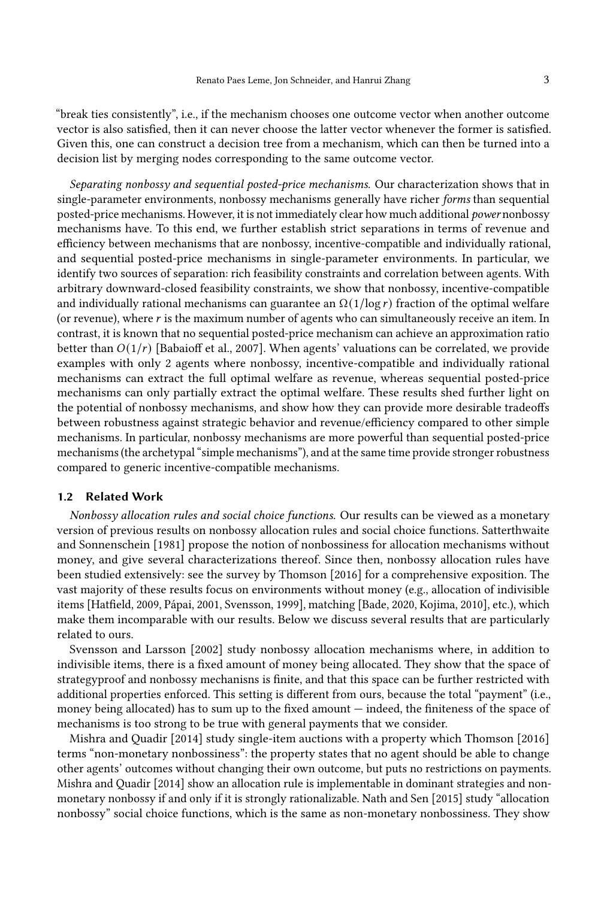"break ties consistently", i.e., if the mechanism chooses one outcome vector when another outcome vector is also satisfied, then it can never choose the latter vector whenever the former is satisfied. Given this, one can construct a decision tree from a mechanism, which can then be turned into a decision list by merging nodes corresponding to the same outcome vector.

Separating nonbossy and sequential posted-price mechanisms. Our characterization shows that in single-parameter environments, nonbossy mechanisms generally have richer forms than sequential posted-price mechanisms. However, it is not immediately clear how much additional power nonbossy mechanisms have. To this end, we further establish strict separations in terms of revenue and efficiency between mechanisms that are nonbossy, incentive-compatible and individually rational, and sequential posted-price mechanisms in single-parameter environments. In particular, we identify two sources of separation: rich feasibility constraints and correlation between agents. With arbitrary downward-closed feasibility constraints, we show that nonbossy, incentive-compatible and individually rational mechanisms can guarantee an  $\Omega(1/\log r)$  fraction of the optimal welfare (or revenue), where  $r$  is the maximum number of agents who can simultaneously receive an item. In contrast, it is known that no sequential posted-price mechanism can achieve an approximation ratio better than  $O(1/r)$  [\[Babaioff et al., 2007\]](#page-18-0). When agents' valuations can be correlated, we provide examples with only 2 agents where nonbossy, incentive-compatible and individually rational mechanisms can extract the full optimal welfare as revenue, whereas sequential posted-price mechanisms can only partially extract the optimal welfare. These results shed further light on the potential of nonbossy mechanisms, and show how they can provide more desirable tradeoffs between robustness against strategic behavior and revenue/efficiency compared to other simple mechanisms. In particular, nonbossy mechanisms are more powerful than sequential posted-price mechanisms (the archetypal "simple mechanisms"), and at the same time provide stronger robustness compared to generic incentive-compatible mechanisms.

#### <span id="page-3-0"></span>1.2 Related Work

Nonbossy allocation rules and social choice functions. Our results can be viewed as a monetary version of previous results on nonbossy allocation rules and social choice functions. [Satterthwaite](#page-19-2) [and Sonnenschein](#page-19-2) [\[1981\]](#page-19-2) propose the notion of nonbossiness for allocation mechanisms without money, and give several characterizations thereof. Since then, nonbossy allocation rules have been studied extensively: see the survey by [Thomson](#page-19-3) [\[2016\]](#page-19-3) for a comprehensive exposition. The vast majority of these results focus on environments without money (e.g., allocation of indivisible items [\[Hatfield, 2009,](#page-19-4) [Pápai, 2001,](#page-19-5) [Svensson, 1999\]](#page-19-6), matching [\[Bade, 2020,](#page-18-1) [Kojima, 2010\]](#page-19-7), etc.), which make them incomparable with our results. Below we discuss several results that are particularly related to ours.

[Svensson and Larsson](#page-19-8) [\[2002\]](#page-19-8) study nonbossy allocation mechanisms where, in addition to indivisible items, there is a fixed amount of money being allocated. They show that the space of strategyproof and nonbossy mechanisns is finite, and that this space can be further restricted with additional properties enforced. This setting is different from ours, because the total "payment" (i.e., money being allocated) has to sum up to the fixed amount — indeed, the finiteness of the space of mechanisms is too strong to be true with general payments that we consider.

[Mishra and Quadir](#page-19-9) [\[2014\]](#page-19-9) study single-item auctions with a property which [Thomson](#page-19-3) [\[2016\]](#page-19-3) terms "non-monetary nonbossiness": the property states that no agent should be able to change other agents' outcomes without changing their own outcome, but puts no restrictions on payments. [Mishra and Quadir](#page-19-9) [\[2014\]](#page-19-9) show an allocation rule is implementable in dominant strategies and nonmonetary nonbossy if and only if it is strongly rationalizable. [Nath and Sen](#page-19-10) [\[2015\]](#page-19-10) study "allocation nonbossy" social choice functions, which is the same as non-monetary nonbossiness. They show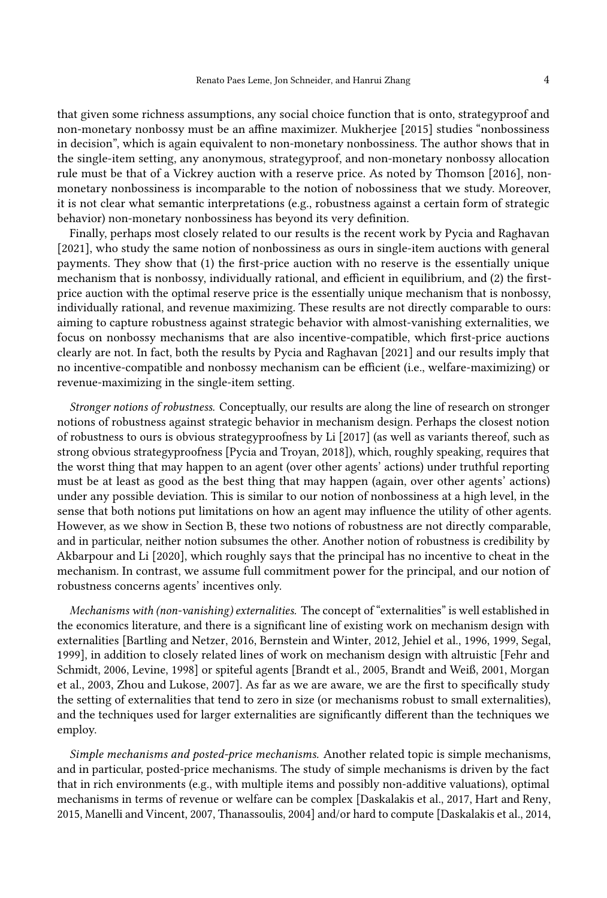that given some richness assumptions, any social choice function that is onto, strategyproof and non-monetary nonbossy must be an affine maximizer. [Mukherjee](#page-19-11) [\[2015\]](#page-19-11) studies "nonbossiness in decision", which is again equivalent to non-monetary nonbossiness. The author shows that in the single-item setting, any anonymous, strategyproof, and non-monetary nonbossy allocation rule must be that of a Vickrey auction with a reserve price. As noted by [Thomson](#page-19-3) [\[2016\]](#page-19-3), nonmonetary nonbossiness is incomparable to the notion of nobossiness that we study. Moreover, it is not clear what semantic interpretations (e.g., robustness against a certain form of strategic behavior) non-monetary nonbossiness has beyond its very definition.

Finally, perhaps most closely related to our results is the recent work by [Pycia and Raghavan](#page-19-12) [\[2021\]](#page-19-12), who study the same notion of nonbossiness as ours in single-item auctions with general payments. They show that (1) the first-price auction with no reserve is the essentially unique mechanism that is nonbossy, individually rational, and efficient in equilibrium, and (2) the firstprice auction with the optimal reserve price is the essentially unique mechanism that is nonbossy, individually rational, and revenue maximizing. These results are not directly comparable to ours: aiming to capture robustness against strategic behavior with almost-vanishing externalities, we focus on nonbossy mechanisms that are also incentive-compatible, which first-price auctions clearly are not. In fact, both the results by [Pycia and Raghavan](#page-19-12) [\[2021\]](#page-19-12) and our results imply that no incentive-compatible and nonbossy mechanism can be efficient (i.e., welfare-maximizing) or revenue-maximizing in the single-item setting.

Stronger notions of robustness. Conceptually, our results are along the line of research on stronger notions of robustness against strategic behavior in mechanism design. Perhaps the closest notion of robustness to ours is obvious strategyproofness by [Li](#page-19-13) [\[2017\]](#page-19-13) (as well as variants thereof, such as strong obvious strategyproofness [\[Pycia and Troyan, 2018\]](#page-19-14)), which, roughly speaking, requires that the worst thing that may happen to an agent (over other agents' actions) under truthful reporting must be at least as good as the best thing that may happen (again, over other agents' actions) under any possible deviation. This is similar to our notion of nonbossiness at a high level, in the sense that both notions put limitations on how an agent may influence the utility of other agents. However, as we show in Section [B,](#page-20-0) these two notions of robustness are not directly comparable, and in particular, neither notion subsumes the other. Another notion of robustness is credibility by [Akbarpour and Li](#page-18-2) [\[2020\]](#page-18-2), which roughly says that the principal has no incentive to cheat in the mechanism. In contrast, we assume full commitment power for the principal, and our notion of robustness concerns agents' incentives only.

Mechanisms with (non-vanishing) externalities. The concept of "externalities" is well established in the economics literature, and there is a significant line of existing work on mechanism design with externalities [\[Bartling and Netzer, 2016,](#page-18-3) [Bernstein and Winter, 2012,](#page-18-4) [Jehiel et al., 1996,](#page-19-15) [1999,](#page-19-16) [Segal,](#page-19-17) [1999\]](#page-19-17), in addition to closely related lines of work on mechanism design with altruistic [\[Fehr and](#page-19-18) [Schmidt, 2006,](#page-19-18) [Levine, 1998\]](#page-19-19) or spiteful agents [\[Brandt et al., 2005,](#page-18-5) [Brandt and Weiß, 2001,](#page-18-6) [Morgan](#page-19-20) [et al., 2003,](#page-19-20) [Zhou and Lukose, 2007\]](#page-20-1). As far as we are aware, we are the first to specifically study the setting of externalities that tend to zero in size (or mechanisms robust to small externalities), and the techniques used for larger externalities are significantly different than the techniques we employ.

Simple mechanisms and posted-price mechanisms. Another related topic is simple mechanisms, and in particular, posted-price mechanisms. The study of simple mechanisms is driven by the fact that in rich environments (e.g., with multiple items and possibly non-additive valuations), optimal mechanisms in terms of revenue or welfare can be complex [\[Daskalakis et al., 2017,](#page-18-7) [Hart and Reny,](#page-19-21) [2015,](#page-19-21) [Manelli and Vincent, 2007,](#page-19-22) [Thanassoulis, 2004\]](#page-19-23) and/or hard to compute [\[Daskalakis et al., 2014,](#page-18-8)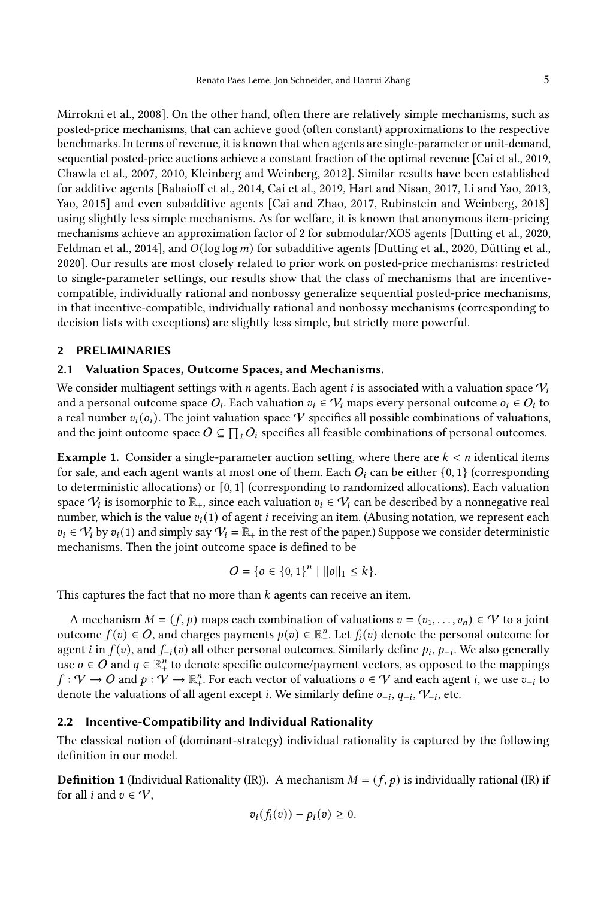[Mirrokni et al., 2008\]](#page-19-24). On the other hand, often there are relatively simple mechanisms, such as posted-price mechanisms, that can achieve good (often constant) approximations to the respective benchmarks. In terms of revenue, it is known that when agents are single-parameter or unit-demand, sequential posted-price auctions achieve a constant fraction of the optimal revenue [\[Cai et al., 2019,](#page-18-9) [Chawla et al., 2007,](#page-18-10) [2010,](#page-18-11) [Kleinberg and Weinberg, 2012\]](#page-19-25). Similar results have been established for additive agents [\[Babaioff et al., 2014,](#page-18-12) [Cai et al., 2019,](#page-18-9) [Hart and Nisan, 2017,](#page-19-26) [Li and Yao, 2013,](#page-19-27) [Yao, 2015\]](#page-19-28) and even subadditive agents [\[Cai and Zhao, 2017,](#page-18-13) [Rubinstein and Weinberg, 2018\]](#page-19-29) using slightly less simple mechanisms. As for welfare, it is known that anonymous item-pricing mechanisms achieve an approximation factor of 2 for submodular/XOS agents [\[Dutting et al., 2020,](#page-19-30) [Feldman et al., 2014\]](#page-19-31), and  $O(\log \log m)$  for subadditive agents [\[Dutting et al., 2020,](#page-19-30) [Dütting et al.,](#page-19-32) [2020\]](#page-19-32). Our results are most closely related to prior work on posted-price mechanisms: restricted to single-parameter settings, our results show that the class of mechanisms that are incentivecompatible, individually rational and nonbossy generalize sequential posted-price mechanisms, in that incentive-compatible, individually rational and nonbossy mechanisms (corresponding to decision lists with exceptions) are slightly less simple, but strictly more powerful.

#### 2 PRELIMINARIES

### 2.1 Valuation Spaces, Outcome Spaces, and Mechanisms.

We consider multiagent settings with *n* agents. Each agent *i* is associated with a valuation space  $V_i$ and a personal outcome space  $O_i$ . Each valuation  $v_i \in V_i$  maps every personal outcome  $o_i \in O_i$  to a real number  $v_i(o_i)$ . The joint valuation space  $\mathcal V$  specifies all possible combinations of valuations, and the joint outcome space  $O \subseteq \prod_i O_i$  specifies all feasible combinations of personal outcomes.

**Example 1.** Consider a single-parameter auction setting, where there are  $k < n$  identical items for sale, and each agent wants at most one of them. Each  $O_i$  can be either  $\{0, 1\}$  (corresponding to deterministic allocations) or  $[0, 1]$  (corresponding to randomized allocations). Each valuation space  $\mathcal{V}_i$  is isomorphic to  $\mathbb{R}_+$ , since each valuation  $v_i \in \mathcal{V}_i$  can be described by a nonnegative real number, which is the value  $v_i(1)$  of agent *i* receiving an item. (Abusing notation, we represent each  $v_i \in V_i$  by  $v_i(1)$  and simply say  $V_i = \mathbb{R}_+$  in the rest of the paper.) Suppose we consider deterministic mechanisms. Then the joint outcome space is defined to be

$$
O = \{ o \in \{0, 1\}^n \mid ||o||_1 \le k \}.
$$

This captures the fact that no more than  $k$  agents can receive an item.

A mechanism  $M = (f, p)$  maps each combination of valuations  $v = (v_1, \ldots, v_n) \in V$  to a joint outcome  $f(v) \in O$ , and charges payments  $p(v) \in \mathbb{R}^n_+$ . Let  $f_i(v)$  denote the personal outcome for agent *i* in  $f(v)$ , and  $f_{-i}(v)$  all other personal outcomes. Similarly define  $p_i$ ,  $p_{-i}$ . We also generally use  $o \in O$  and  $q \in \mathbb{R}^n_+$  to denote specific outcome/payment vectors, as opposed to the mappings  $f: V \to O$  and  $p: V \to \mathbb{R}^n_+$ . For each vector of valuations  $v \in V$  and each agent *i*, we use  $v_{-i}$  to denote the valuations of all agent except *i*. We similarly define  $o_{-i}$ ,  $q_{-i}$ ,  $V_{-i}$ , etc.

## 2.2 Incentive-Compatibility and Individual Rationality

The classical notion of (dominant-strategy) individual rationality is captured by the following definition in our model.

**Definition 1** (Individual Rationality (IR)). A mechanism  $M = (f, p)$  is individually rational (IR) if for all *i* and  $v \in \mathcal{V}$ ,

$$
v_i(f_i(v)) - p_i(v) \geq 0.
$$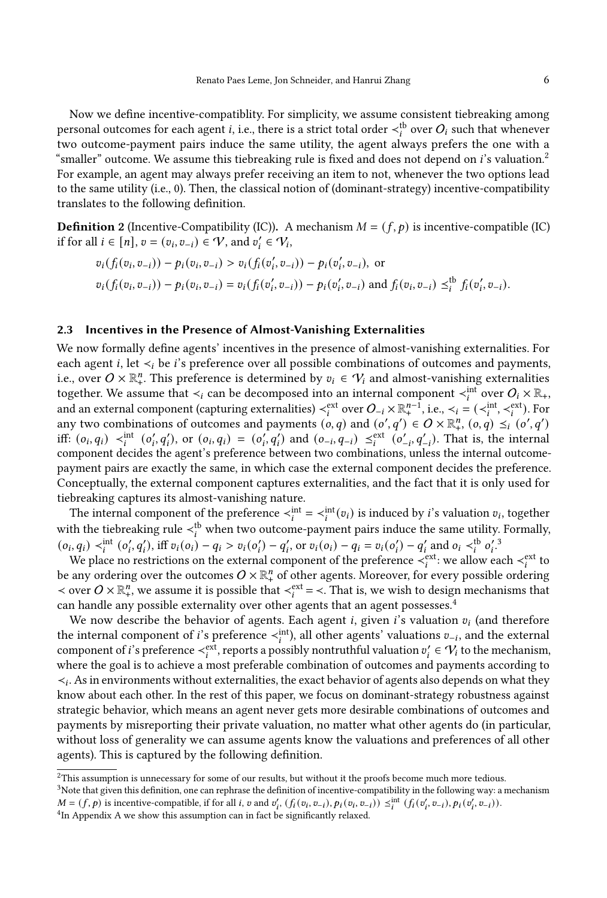Now we define incentive-compatiblity. For simplicity, we assume consistent tiebreaking among personal outcomes for each agent *i*, i.e., there is a strict total order  $\lt_i^{\text{tb}}$  over  $O_i$  such that whenever two outcome-payment pairs induce the same utility, the agent always prefers the one with a "smaller" outcome. We assume this tiebreaking rule is fixed and does not depend on  $i$ 's valuation.<sup>[2](#page-6-0)</sup> For example, an agent may always prefer receiving an item to not, whenever the two options lead to the same utility (i.e., 0). Then, the classical notion of (dominant-strategy) incentive-compatibility translates to the following definition.

**Definition 2** (Incentive-Compatibility (IC)). A mechanism  $M = (f, p)$  is incentive-compatible (IC) if for all  $i \in [n]$ ,  $v = (v_i, v_{-i}) \in V$ , and  $v'_i \in V_i$ ,

$$
v_i(f_i(v_i, v_{-i})) - p_i(v_i, v_{-i}) > v_i(f_i(v'_i, v_{-i})) - p_i(v'_i, v_{-i}),
$$
 or  

$$
v_i(f_i(v_i, v_{-i})) - p_i(v_i, v_{-i}) = v_i(f_i(v'_i, v_{-i})) - p_i(v'_i, v_{-i})
$$
 and  $f_i(v_i, v_{-i}) \leq i^b f_i(v'_i, v_{-i}).$ 

#### <span id="page-6-3"></span>2.3 Incentives in the Presence of Almost-Vanishing Externalities

We now formally define agents' incentives in the presence of almost-vanishing externalities. For each agent *i*, let  $\prec_i$  be *i*'s preference over all possible combinations of outcomes and payments, i.e., over  $O \times \mathbb{R}^n_+$ . This preference is determined by  $v_i \in V_i$  and almost-vanishing externalities together. We assume that  $\prec_i$  can be decomposed into an internal component  $\prec_i^{\text{int}}$  over  $O_i\times\mathbb{R}_+$ , and an external component (capturing externalities)  $\lt_i^{\text{ext}}$  over  $O_{-i} \times \mathbb{R}^{n-1}_+$ , i.e.,  $\lt_i = (\lt_i^{\text{int}}, \lt_i^{\text{ext}})$ . For any two combinations of outcomes and payments  $(c, q)$  and  $(c', q') \in O \times \mathbb{R}^n$ ,  $(c, q) \leq i(c', q')$ iff:  $(o_i, q_i) \prec_i^{\text{int}} (o'_i, q'_i)$ , or  $(o_i, q_i) = (o'_i, q'_i)$  and  $(o_{-i}, q_{-i}) \leq_i^{\text{ext}} (o'_{-i}, q'_{-i})$ . That is, the internal component decides the agent's preference between two combinations, unless the internal outcomepayment pairs are exactly the same, in which case the external component decides the preference. Conceptually, the external component captures externalities, and the fact that it is only used for tiebreaking captures its almost-vanishing nature.

The internal component of the preference  $\langle i \rangle_i^{\text{int}} = \langle i \rangle^{\text{int}}(v_i)$  is induced by *i*'s valuation  $v_i$ , together with the tiebreaking rule  $\lt_i^{\text{tb}}$  when two outcome-payment pairs induce the same utility. Formally,  $(o_i, q_i) <$ <sup>int</sup>  $(o'_i, q'_i)$ , iff  $v_i(o_i) - q_i > v_i(o'_i) - q'_i$ , or  $v_i(o_i) - q_i = v_i(o'_i) - q'_i$  and  $o_i <$ <sup>th</sup> $o'_i$ <sup>[3](#page-6-1)</sup>

We place no restrictions on the external component of the preference  $\prec_i^{\text{ext}}$ : we allow each  $\prec_i^{\text{ext}}$  to be any ordering over the outcomes  $O\times\mathbb{R}^n_+$  of other agents. Moreover, for every possible ordering  $\prec$  over  $O \times \mathbb{R}^n_+$ , we assume it is possible that  $\prec_i^{ext} = \prec$ . That is, we wish to design mechanisms that can handle any possible externality over other agents that an agent possesses.<sup>[4](#page-6-2)</sup>

We now describe the behavior of agents. Each agent *i*, given *i*'s valuation  $v_i$  (and therefore the internal component of *i*'s preference  $\lt_i^{\text{int}}$ , all other agents' valuations  $v_{-i}$ , and the external component of i's preference  $\prec_i^{\text{ext}}$ , reports a possibly nontruthful valuation  $v'_i \in V_i$  to the mechanism, where the goal is to achieve a most preferable combination of outcomes and payments according to ≺ . As in environments without externalities, the exact behavior of agents also depends on what they know about each other. In the rest of this paper, we focus on dominant-strategy robustness against strategic behavior, which means an agent never gets more desirable combinations of outcomes and payments by misreporting their private valuation, no matter what other agents do (in particular, without loss of generality we can assume agents know the valuations and preferences of all other agents). This is captured by the following definition.

<span id="page-6-0"></span> $2$ This assumption is unnecessary for some of our results, but without it the proofs become much more tedious.

<span id="page-6-1"></span><sup>&</sup>lt;sup>3</sup>Note that given this definition, one can rephrase the definition of incentive-compatibility in the following way: a mechanism  $M = (f, p)$  is incentive-compatible, if for all *i*,  $v$  and  $v'_i$ ,  $(f_i(v_i, v_{-i}), p_i(v_i, v_{-i})) \leq i$   $(f_i(v'_i, v_{-i}), p_i(v'_i, v_{-i})).$ 

<span id="page-6-2"></span><sup>&</sup>lt;sup>4</sup>In [A](#page-20-2)ppendix A we show this assumption can in fact be significantly relaxed.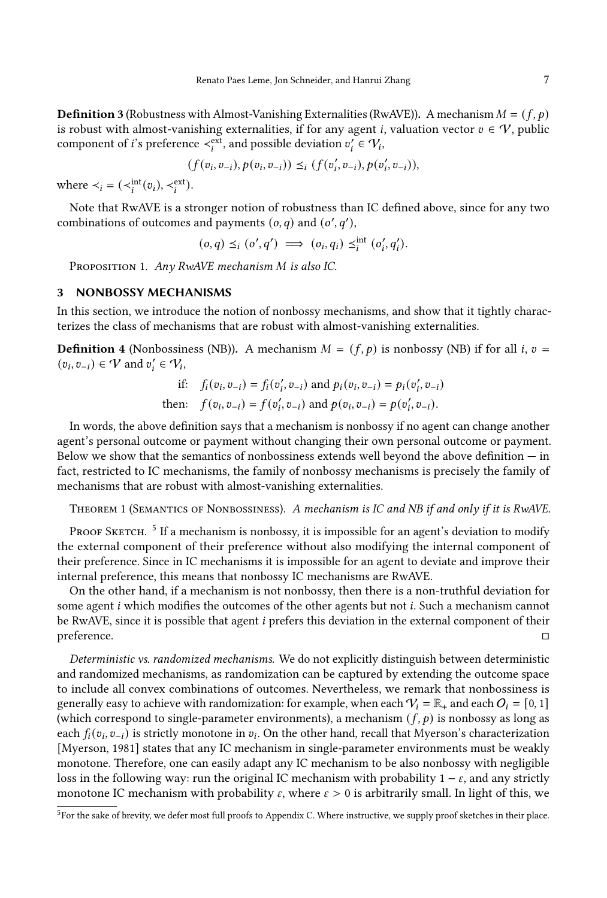**Definition 3** (Robustness with Almost-Vanishing Externalities (RwAVE)). A mechanism  $M = (f, p)$ is robust with almost-vanishing externalities, if for any agent *i*, valuation vector  $v \in V$ , public component of *i*'s preference  $\prec_i^{\text{ext}}$ , and possible deviation  $v'_i \in V_i$ ,

$$
(f(v_i, v_{-i}), p(v_i, v_{-i})) \leq_i (f(v_i', v_{-i}), p(v_i', v_{-i})),
$$

where  $\lt_i = (\lt_i^{\text{int}}(v_i), \lt_i^{\text{ext}})$ .

Note that RwAVE is a stronger notion of robustness than IC defined above, since for any two combinations of outcomes and payments  $(o, q)$  and  $(o', q')$ ,

$$
(o,q) \leq_i (o',q') \implies (o_i,q_i) \leq_i^{\text{int}} (o'_i,q'_i).
$$

PROPOSITION 1. Any RwAVE mechanism M is also IC.

#### 3 NONBOSSY MECHANISMS

In this section, we introduce the notion of nonbossy mechanisms, and show that it tightly characterizes the class of mechanisms that are robust with almost-vanishing externalities.

**Definition 4** (Nonbossiness (NB)). A mechanism  $M = (f, p)$  is nonbossy (NB) if for all *i*,  $v =$  $(v_i, v_{-i}) \in V$  and  $v'_i \in V_i$ ,

if: 
$$
f_i(v_i, v_{-i}) = f_i(v'_i, v_{-i})
$$
 and  $p_i(v_i, v_{-i}) = p_i(v'_i, v_{-i})$   
then:  $f(v_i, v_{-i}) = f(v'_i, v_{-i})$  and  $p(v_i, v_{-i}) = p(v'_i, v_{-i})$ .

In words, the above definition says that a mechanism is nonbossy if no agent can change another agent's personal outcome or payment without changing their own personal outcome or payment. Below we show that the semantics of nonbossiness extends well beyond the above definition  $-$  in fact, restricted to IC mechanisms, the family of nonbossy mechanisms is precisely the family of mechanisms that are robust with almost-vanishing externalities.

<span id="page-7-1"></span>THEOREM 1 (SEMANTICS OF NONBOSSINESS). A mechanism is IC and NB if and only if it is RwAVE.

PROOF SKETCH. <sup>[5](#page-7-0)</sup> If a mechanism is nonbossy, it is impossible for an agent's deviation to modify the external component of their preference without also modifying the internal component of their preference. Since in IC mechanisms it is impossible for an agent to deviate and improve their internal preference, this means that nonbossy IC mechanisms are RwAVE.

On the other hand, if a mechanism is not nonbossy, then there is a non-truthful deviation for some agent  $i$  which modifies the outcomes of the other agents but not  $i$ . Such a mechanism cannot be RwAVE, since it is possible that agent  $i$  prefers this deviation in the external component of their preference. □

Deterministic vs. randomized mechanisms. We do not explicitly distinguish between deterministic and randomized mechanisms, as randomization can be captured by extending the outcome space to include all convex combinations of outcomes. Nevertheless, we remark that nonbossiness is generally easy to achieve with randomization: for example, when each  $V_i = \mathbb{R}_+$  and each  $O_i = [0, 1]$ (which correspond to single-parameter environments), a mechanism  $(f, p)$  is nonbossy as long as each  $f_i(v_i, v_{-i})$  is strictly monotone in  $v_i$ . On the other hand, recall that Myerson's characterization [\[Myerson, 1981\]](#page-19-33) states that any IC mechanism in single-parameter environments must be weakly monotone. Therefore, one can easily adapt any IC mechanism to be also nonbossy with negligible loss in the following way: run the original IC mechanism with probability  $1 - \varepsilon$ , and any strictly monotone IC mechanism with probability  $\varepsilon$ , where  $\varepsilon > 0$  is arbitrarily small. In light of this, we

<span id="page-7-0"></span><sup>&</sup>lt;sup>5</sup>For the sake of brevity, we defer most full proofs to Appendix [C.](#page-21-0) Where instructive, we supply proof sketches in their place.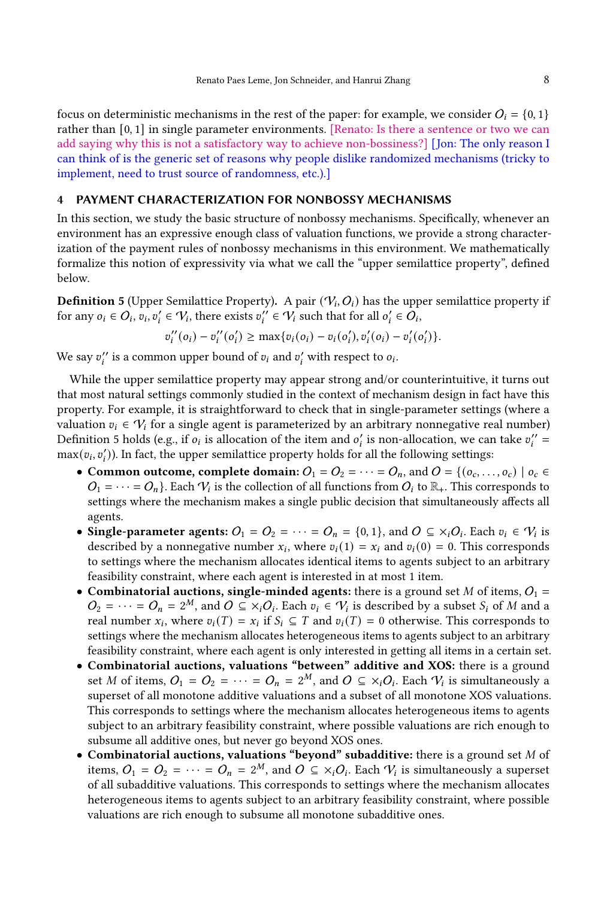focus on deterministic mechanisms in the rest of the paper: for example, we consider  $O_i = \{0, 1\}$ rather than [0, 1] in single parameter environments. [Renato: Is there a sentence or two we can add saying why this is not a satisfactory way to achieve non-bossiness?] [Jon: The only reason I can think of is the generic set of reasons why people dislike randomized mechanisms (tricky to implement, need to trust source of randomness, etc.).]

#### <span id="page-8-1"></span>4 PAYMENT CHARACTERIZATION FOR NONBOSSY MECHANISMS

In this section, we study the basic structure of nonbossy mechanisms. Specifically, whenever an environment has an expressive enough class of valuation functions, we provide a strong characterization of the payment rules of nonbossy mechanisms in this environment. We mathematically formalize this notion of expressivity via what we call the "upper semilattice property", defined below.

<span id="page-8-0"></span>**Definition 5** (Upper Semilattice Property). A pair  $(\mathcal{V}_i, O_i)$  has the upper semilattice property if for any  $o_i \in O_i$ ,  $v_i, v_i' \in V_i$ , there exists  $v_i'' \in V_i$  such that for all  $o_i' \in O_i$ ,

$$
v''_i(o_i) - v''_i(o'_i) \ge \max\{v_i(o_i) - v_i(o'_i), v'_i(o_i) - v'_i(o'_i)\}.
$$

We say  $v_i''$  is a common upper bound of  $v_i$  and  $v_i'$  with respect to  $o_i$ .

While the upper semilattice property may appear strong and/or counterintuitive, it turns out that most natural settings commonly studied in the context of mechanism design in fact have this property. For example, it is straightforward to check that in single-parameter settings (where a valuation  $v_i \in V_i$  for a single agent is parameterized by an arbitrary nonnegative real number) Definition [5](#page-8-0) holds (e.g., if  $o_i$  is allocation of the item and  $o'_i$  is non-allocation, we can take  $v''_i =$  $\max(v_i, v'_i)$ ). In fact, the upper semilattice property holds for all the following settings:

- Common outcome, complete domain:  $O_1 = O_2 = \cdots = O_n$ , and  $O = \{(o_c, \ldots, o_c) \mid o_c \in$  $O_1 = \cdots = O_n$ . Each  $V_i$  is the collection of all functions from  $O_i$  to  $\mathbb{R}_+$ . This corresponds to settings where the mechanism makes a single public decision that simultaneously affects all agents.
- Single-parameter agents:  $O_1 = O_2 = \cdots = O_n = \{0, 1\}$ , and  $O \subseteq \times_i O_i$ . Each  $v_i \in V_i$  is described by a nonnegative number  $x_i$ , where  $v_i(1) = x_i$  and  $v_i(0) = 0$ . This corresponds to settings where the mechanism allocates identical items to agents subject to an arbitrary feasibility constraint, where each agent is interested in at most 1 item.
- Combinatorial auctions, single-minded agents: there is a ground set M of items,  $O_1$  =  $O_2 = \cdots = O_n = 2^M$ , and  $O \subseteq x_i O_i$ . Each  $v_i \in V_i$  is described by a subset  $S_i$  of M and a real number  $x_i$ , where  $v_i(T) = x_i$  if  $S_i \subseteq T$  and  $v_i(T) = 0$  otherwise. This corresponds to settings where the mechanism allocates heterogeneous items to agents subject to an arbitrary feasibility constraint, where each agent is only interested in getting all items in a certain set.
- Combinatorial auctions, valuations "between" additive and XOS: there is a ground set M of items,  $O_1 = O_2 = \cdots = O_n = 2^M$ , and  $O \subseteq x_iO_i$ . Each  $V_i$  is simultaneously a superset of all monotone additive valuations and a subset of all monotone XOS valuations. This corresponds to settings where the mechanism allocates heterogeneous items to agents subject to an arbitrary feasibility constraint, where possible valuations are rich enough to subsume all additive ones, but never go beyond XOS ones.
- Combinatorial auctions, valuations "beyond" subadditive: there is a ground set  $M$  of items,  $O_1 = O_2 = \cdots = O_n = 2^M$ , and  $O \subseteq \times_i O_i$ . Each  $V_i$  is simultaneously a superset of all subadditive valuations. This corresponds to settings where the mechanism allocates heterogeneous items to agents subject to an arbitrary feasibility constraint, where possible valuations are rich enough to subsume all monotone subadditive ones.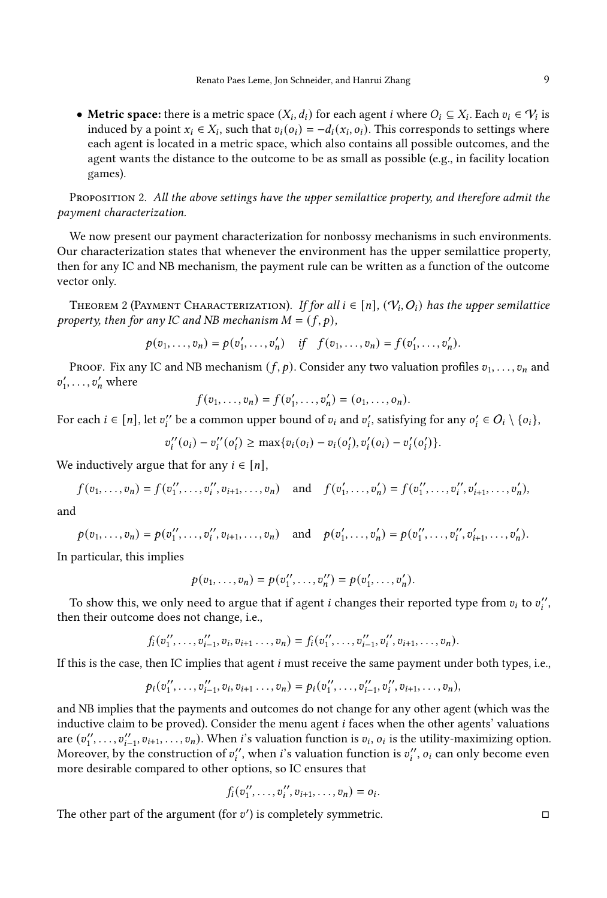• Metric space: there is a metric space  $(X_i, d_i)$  for each agent *i* where  $O_i \subseteq X_i$ . Each  $v_i \in V_i$  is induced by a point  $x_i \in X_i$ , such that  $v_i(o_i) = -d_i(x_i, o_i)$ . This corresponds to settings where each agent is located in a metric space, which also contains all possible outcomes, and the agent wants the distance to the outcome to be as small as possible (e.g., in facility location games).

<span id="page-9-0"></span>PROPOSITION 2. All the above settings have the upper semilattice property, and therefore admit the payment characterization.

We now present our payment characterization for nonbossy mechanisms in such environments. Our characterization states that whenever the environment has the upper semilattice property, then for any IC and NB mechanism, the payment rule can be written as a function of the outcome vector only.

<span id="page-9-1"></span>THEOREM 2 (PAYMENT CHARACTERIZATION). If for all  $i \in [n]$  ,  $(\mathcal{V}_i, O_i)$  has the upper semilattice property, then for any IC and NB mechanism  $M = (f, p)$ ,

$$
p(v_1,...,v_n) = p(v'_1,...,v'_n)
$$
 if  $f(v_1,...,v_n) = f(v'_1,...,v'_n)$ .

PROOF. Fix any IC and NB mechanism  $(f, p)$ . Consider any two valuation profiles  $v_1, \ldots, v_n$  and  $v'_1, \ldots, v'_n$  where

$$
f(v_1,...,v_n) = f(v'_1,...,v'_n) = (o_1,...,o_n).
$$

For each  $i \in [n]$ , let  $v''_i$  be a common upper bound of  $v_i$  and  $v'_i$ , satisfying for any  $o'_i \in O_i \setminus \{o_i\}$ ,

$$
v''_i(o_i) - v''_i(o'_i) \ge \max\{v_i(o_i) - v_i(o'_i), v'_i(o_i) - v'_i(o'_i)\}.
$$

We inductively argue that for any  $i \in [n]$ ,

$$
f(v_1,...,v_n) = f(v''_1,...,v''_i,v_{i+1},...,v_n)
$$
 and  $f(v'_1,...,v'_n) = f(v''_1,...,v''_i,v'_{i+1},...,v'_n),$ 

and

$$
p(v_1,...,v_n) = p(v''_1,...,v''_i,v_{i+1},...,v_n)
$$
 and  $p(v'_1,...,v'_n) = p(v''_1,...,v''_i,v'_{i+1},...,v'_n)$ .

In particular, this implies

$$
p(v_1,\ldots,v_n)=p(v''_1,\ldots,v''_n)=p(v'_1,\ldots,v'_n).
$$

To show this, we only need to argue that if agent *i* changes their reported type from  $v_i$  to  $v''_i$ , then their outcome does not change, i.e.,

$$
f_i(v''_1,\ldots,v''_{i-1},v_i,v_{i+1}\ldots,v_n)=f_i(v''_1,\ldots,v''_{i-1},v''_i,v_{i+1},\ldots,v_n).
$$

If this is the case, then IC implies that agent  $i$  must receive the same payment under both types, i.e.,

$$
p_i(v''_1,\ldots,v''_{i-1},v_i,v_{i+1}\ldots,v_n)=p_i(v''_1,\ldots,v''_{i-1},v''_i,v_{i+1},\ldots,v_n),
$$

and NB implies that the payments and outcomes do not change for any other agent (which was the inductive claim to be proved). Consider the menu agent  $i$  faces when the other agents' valuations are  $(v''_1, \ldots, v''_{i-1}, v_{i+1}, \ldots, v_n)$ . When *i*'s valuation function is  $v_i$ ,  $o_i$  is the utility-maximizing option. Moreover, by the construction of  $v''_i$ , when *i*'s valuation function is  $v''_i$ ,  $o_i$  can only become even more desirable compared to other options, so IC ensures that

$$
f_i(v''_1, \ldots, v''_i, v_{i+1}, \ldots, v_n) = o_i.
$$

The other part of the argument (for  $v'$ ) is completely symmetric.  $\Box$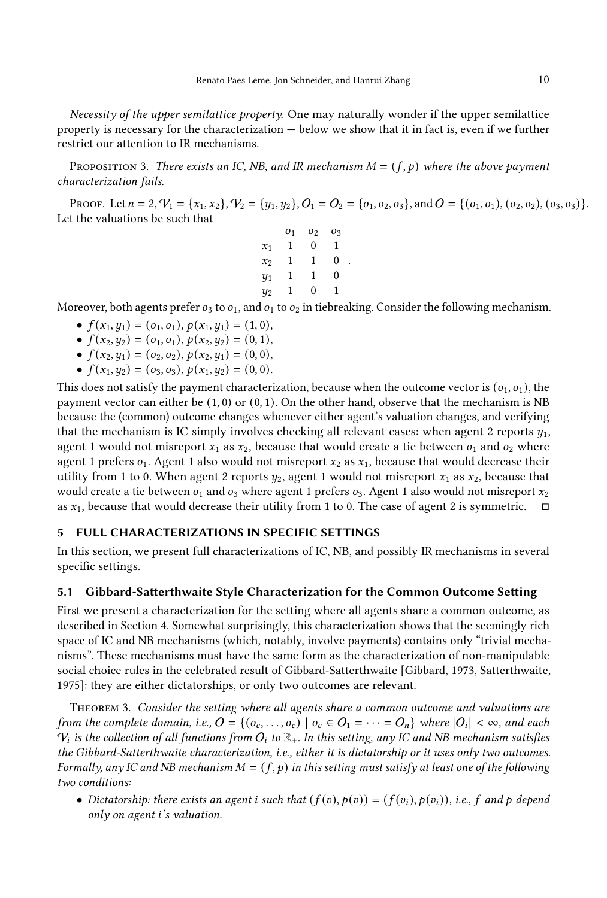Necessity of the upper semilattice property. One may naturally wonder if the upper semilattice property is necessary for the characterization — below we show that it in fact is, even if we further restrict our attention to IR mechanisms.

<span id="page-10-0"></span>PROPOSITION 3. There exists an IC, NB, and IR mechanism  $M = (f, p)$  where the above payment characterization fails.

PROOF. Let  $n = 2$ ,  $V_1 = \{x_1, x_2\}$ ,  $V_2 = \{y_1, y_2\}$ ,  $O_1 = O_2 = \{o_1, o_2, o_3\}$ , and  $O = \{(o_1, o_1), (o_2, o_2), (o_3, o_3)\}$ . Let the valuations be such that

.

|           | 01 | 02 | Oз |
|-----------|----|----|----|
| $x_1$     | 1  | 0  | 1  |
| $x_2$     | 1  | 1  | 0  |
| $y_1$     | 1  | 1  | 0  |
| $\it y_2$ | 1  | 0  | 1  |

Moreover, both agents prefer  $o_3$  to  $o_1$ , and  $o_1$  to  $o_2$  in tiebreaking. Consider the following mechanism.

- $f(x_1, y_1) = (o_1, o_1), p(x_1, y_1) = (1, 0),$
- $f(x_2, y_2) = (o_1, o_1), p(x_2, y_2) = (0, 1),$
- $f(x_2, y_1) = (o_2, o_2), p(x_2, y_1) = (0, 0),$
- $f(x_1, y_2) = (o_3, o_3), p(x_1, y_2) = (0, 0).$

This does not satisfy the payment characterization, because when the outcome vector is  $(o_1, o_1)$ , the payment vector can either be  $(1, 0)$  or  $(0, 1)$ . On the other hand, observe that the mechanism is NB because the (common) outcome changes whenever either agent's valuation changes, and verifying that the mechanism is IC simply involves checking all relevant cases: when agent 2 reports  $y_1$ , agent 1 would not misreport  $x_1$  as  $x_2$ , because that would create a tie between  $o_1$  and  $o_2$  where agent 1 prefers  $o_1$ . Agent 1 also would not misreport  $x_2$  as  $x_1$ , because that would decrease their utility from 1 to 0. When agent 2 reports  $y_2$ , agent 1 would not misreport  $x_1$  as  $x_2$ , because that would create a tie between  $o_1$  and  $o_3$  where agent 1 prefers  $o_3$ . Agent 1 also would not misreport  $x_2$ as  $x_1$ , because that would decrease their utility from 1 to 0. The case of agent 2 is symmetric.  $\Box$ 

## 5 FULL CHARACTERIZATIONS IN SPECIFIC SETTINGS

In this section, we present full characterizations of IC, NB, and possibly IR mechanisms in several specific settings.

#### 5.1 Gibbard-Satterthwaite Style Characterization for the Common Outcome Setting

First we present a characterization for the setting where all agents share a common outcome, as described in Section [4.](#page-8-1) Somewhat surprisingly, this characterization shows that the seemingly rich space of IC and NB mechanisms (which, notably, involve payments) contains only "trivial mechanisms". These mechanisms must have the same form as the characterization of non-manipulable social choice rules in the celebrated result of Gibbard-Satterthwaite [\[Gibbard, 1973,](#page-19-0) [Satterthwaite,](#page-19-1) [1975\]](#page-19-1): they are either dictatorships, or only two outcomes are relevant.

<span id="page-10-1"></span>THEOREM 3. Consider the setting where all agents share a common outcome and valuations are from the complete domain, i.e.,  $O = \{ (o_c, \ldots, o_c) \mid o_c \in O_1 = \cdots = O_n \}$  where  $|O_i| < \infty$ , and each  $V_i$  is the collection of all functions from  $O_i$  to  $\mathbb{R}_+$ . In this setting, any IC and NB mechanism satisfies the Gibbard-Satterthwaite characterization, i.e., either it is dictatorship or it uses only two outcomes. Formally, any IC and NB mechanism  $M = (f, p)$  in this setting must satisfy at least one of the following two conditions:

• Dictatorship: there exists an agent *i* such that  $(f(v), p(v)) = (f(v_i), p(v_i))$ , i.e., f and p depend only on agent *i's* valuation.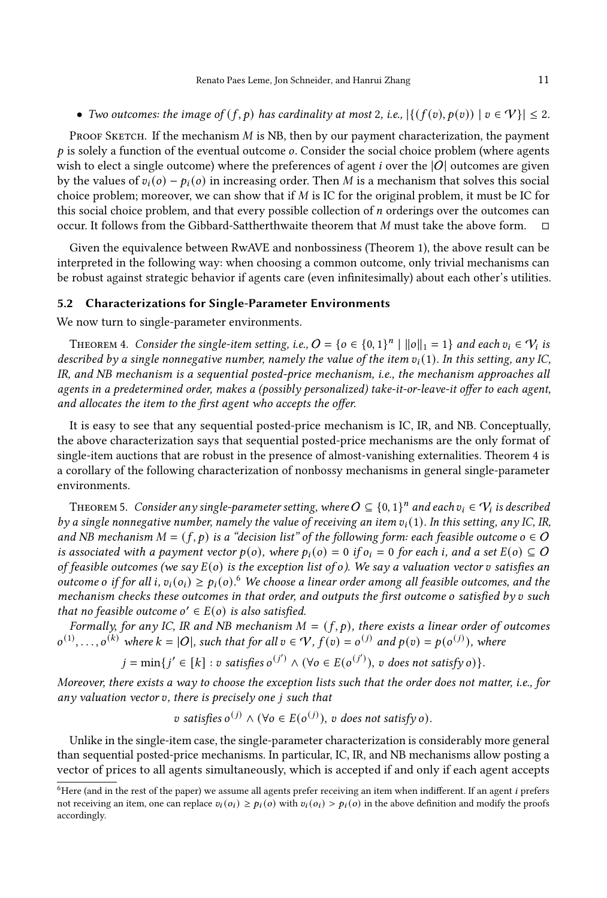• Two outcomes: the image of  $(f, p)$  has cardinality at most 2, i.e.,  $|\{(f(v), p(v)) \mid v \in V\}| \leq 2$ .

PROOF SKETCH. If the mechanism  $M$  is NB, then by our payment characterization, the payment  $p$  is solely a function of the eventual outcome  $o$ . Consider the social choice problem (where agents wish to elect a single outcome) where the preferences of agent  $i$  over the  $|O|$  outcomes are given by the values of  $v_i(o) - p_i(o)$  in increasing order. Then M is a mechanism that solves this social choice problem; moreover, we can show that if  $M$  is IC for the original problem, it must be IC for this social choice problem, and that every possible collection of  $n$  orderings over the outcomes can occur. It follows from the Gibbard-Sattherthwaite theorem that  $M$  must take the above form.  $\Box$ 

Given the equivalence between RwAVE and nonbossiness (Theorem [1\)](#page-7-1), the above result can be interpreted in the following way: when choosing a common outcome, only trivial mechanisms can be robust against strategic behavior if agents care (even infinitesimally) about each other's utilities.

#### 5.2 Characterizations for Single-Parameter Environments

We now turn to single-parameter environments.

<span id="page-11-0"></span>THEOREM 4. Consider the single-item setting, i.e.,  $O = \{o \in \{0,1\}^n \mid ||o||_1 = 1\}$  and each  $v_i \in V_i$  is described by a single nonnegative number, namely the value of the item  $v_i(1)$ . In this setting, any IC, IR, and NB mechanism is a sequential posted-price mechanism, i.e., the mechanism approaches all agents in a predetermined order, makes a (possibly personalized) take-it-or-leave-it offer to each agent, and allocates the item to the first agent who accepts the offer.

It is easy to see that any sequential posted-price mechanism is IC, IR, and NB. Conceptually, the above characterization says that sequential posted-price mechanisms are the only format of single-item auctions that are robust in the presence of almost-vanishing externalities. Theorem [4](#page-11-0) is a corollary of the following characterization of nonbossy mechanisms in general single-parameter environments.

<span id="page-11-2"></span>THEOREM 5. Consider any single-parameter setting, where  $O \subseteq \{0,1\}^n$  and each  $v_i \in \mathcal{V}_i$  is described by a single nonnegative number, namely the value of receiving an item  $v_i(1)$ . In this setting, any IC, IR, and NB mechanism  $M = (f, p)$  is a "decision list" of the following form: each feasible outcome  $o \in O$ is associated with a payment vector  $p(o)$ , where  $p_i(o) = 0$  if  $o_i = 0$  for each i, and a set  $E(o) \subseteq O$ of feasible outcomes (we say  $E(o)$  is the exception list of  $o$ ). We say a valuation vector  $v$  satisfies an outcome o if for all i,  $v_i(o_i) \ge p_i(o)$ . We choose a linear order among all feasible outcomes, and the mechanism checks these outcomes in that order, and outputs the first outcome  $o$  satisfied by  $v$  such that no feasible outcome  $o' \in E(o)$  is also satisfied.

Formally, for any IC, IR and NB mechanism  $M = (f, p)$ , there exists a linear order of outcomes  $o^{(1)}, \ldots, o^{(k)}$  where  $k = |O|$ , such that for all  $v \in V$ ,  $f(v) = o^{(j)}$  and  $p(v) = p(o^{(j)})$ , where

$$
j = \min\{j' \in [k] : v \text{ satisfies } o^{(j')} \land (\forall o \in E(o^{(j')}) \text{, } v \text{ does not satisfy } o)\}.
$$

Moreover, there exists a way to choose the exception lists such that the order does not matter, i.e., for any valuation vector  $v$ , there is precisely one  $j$  such that

v satisfies  $o^{(j)} \wedge (\forall o \in E(o^{(j)}), v$  does not satisfy  $o)$ .

Unlike in the single-item case, the single-parameter characterization is considerably more general than sequential posted-price mechanisms. In particular, IC, IR, and NB mechanisms allow posting a vector of prices to all agents simultaneously, which is accepted if and only if each agent accepts

<span id="page-11-1"></span> $6$ Here (and in the rest of the paper) we assume all agents prefer receiving an item when indifferent. If an agent  $i$  prefers not receiving an item, one can replace  $v_i(o_i) \ge p_i(o)$  with  $v_i(o_i) > p_i(o)$  in the above definition and modify the proofs accordingly.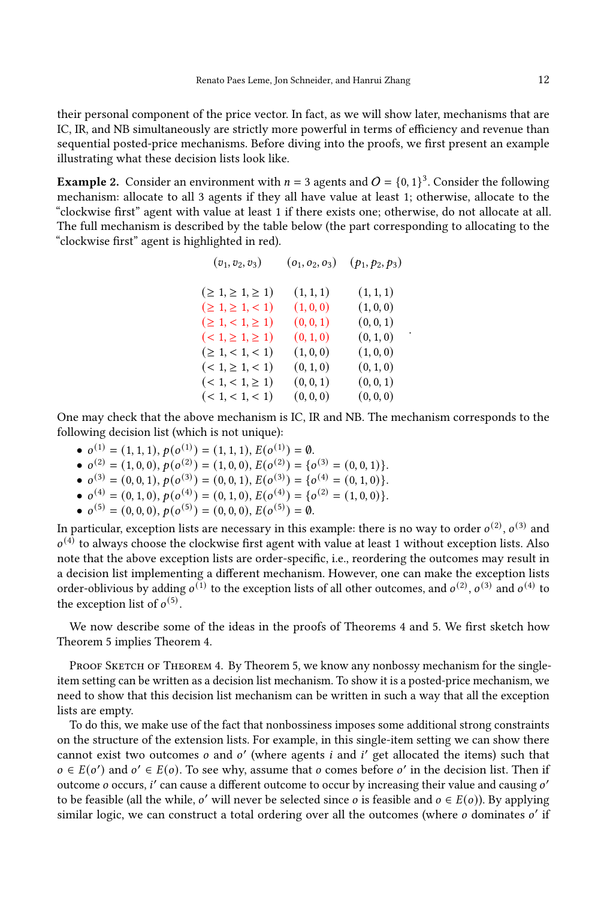their personal component of the price vector. In fact, as we will show later, mechanisms that are IC, IR, and NB simultaneously are strictly more powerful in terms of efficiency and revenue than sequential posted-price mechanisms. Before diving into the proofs, we first present an example illustrating what these decision lists look like.

**Example 2.** Consider an environment with  $n = 3$  agents and  $O = \{0, 1\}^3$ . Consider the following mechanism: allocate to all 3 agents if they all have value at least 1; otherwise, allocate to the "clockwise first" agent with value at least 1 if there exists one; otherwise, do not allocate at all. The full mechanism is described by the table below (the part corresponding to allocating to the "clockwise first" agent is highlighted in red).

| $(v_1, v_2, v_3)$           | $(o_1, o_2, o_3)$ | $(p_1, p_2, p_3)$ |
|-----------------------------|-------------------|-------------------|
| $( \geq 1, \geq 1, \geq 1)$ | (1, 1, 1)         | (1, 1, 1)         |
| $( \geq 1, \geq 1, < 1)$    | (1,0,0)           | (1,0,0)           |
| $( \geq 1, < 1, \geq 1)$    | (0, 0, 1)         | (0, 0, 1)         |
| $(< 1, \geq 1, \geq 1)$     | (0, 1, 0)         | (0, 1, 0)         |
| $( \geq 1, < 1, < 1)$       | (1, 0, 0)         | (1, 0, 0)         |
| $(< 1, \geq 1, < 1)$        | (0, 1, 0)         | (0, 1, 0)         |
| $(< 1, < 1, \geq 1)$        | (0, 0, 1)         | (0, 0, 1)         |
| (< 1, < 1, < 1)             | (0, 0, 0)         | (0, 0, 0)         |

.

One may check that the above mechanism is IC, IR and NB. The mechanism corresponds to the following decision list (which is not unique):

- $o^{(1)} = (1, 1, 1), p(o^{(1)}) = (1, 1, 1), E(o^{(1)}) = \emptyset.$
- $o^{(2)} = (1, 0, 0), p(o^{(2)}) = (1, 0, 0), E(o^{(2)}) = \{o^{(3)} = (0, 0, 1)\}.$
- $o^{(3)} = (0, 0, 1), p(o^{(3)}) = (0, 0, 1), E(o^{(3)}) = \{o^{(4)} = (0, 1, 0)\}.$
- $o^{(4)} = (0, 1, 0), p(o^{(4)}) = (0, 1, 0), E(o^{(4)}) = \{o^{(2)} = (1, 0, 0)\}.$
- $o^{(5)} = (0, 0, 0), p(o^{(5)}) = (0, 0, 0), E(o^{(5)}) = 0.$

In particular, exception lists are necessary in this example: there is no way to order  $o^{(2)}$ ,  $o^{(3)}$  and  $o^{(4)}$  to always choose the clockwise first agent with value at least 1 without exception lists. Also note that the above exception lists are order-specific, i.e., reordering the outcomes may result in a decision list implementing a different mechanism. However, one can make the exception lists order-oblivious by adding  $o^{(1)}$  to the exception lists of all other outcomes, and  $o^{(2)}$ ,  $o^{(3)}$  and  $o^{(4)}$  to the exception list of  $o^{(5)}$ .

We now describe some of the ideas in the proofs of Theorems [4](#page-11-0) and [5.](#page-11-2) We first sketch how Theorem [5](#page-11-2) implies Theorem [4.](#page-11-0)

PROOF SKETCH OF THEOREM [4.](#page-11-0) By Theorem 5, we know any nonbossy mechanism for the singleitem setting can be written as a decision list mechanism. To show it is a posted-price mechanism, we need to show that this decision list mechanism can be written in such a way that all the exception lists are empty.

To do this, we make use of the fact that nonbossiness imposes some additional strong constraints on the structure of the extension lists. For example, in this single-item setting we can show there cannot exist two outcomes *o* and *o'* (where agents *i* and *i'* get allocated the items) such that  $o \in E(o')$  and  $o' \in E(o)$ . To see why, assume that *o* comes before *o'* in the decision list. Then if outcome  $o$  occurs, i' can cause a different outcome to occur by increasing their value and causing  $o'$ to be feasible (all the while, o' will never be selected since o is feasible and  $o \in E(o)$ ). By applying similar logic, we can construct a total ordering over all the outcomes (where  $\sigma$  dominates  $\sigma'$  if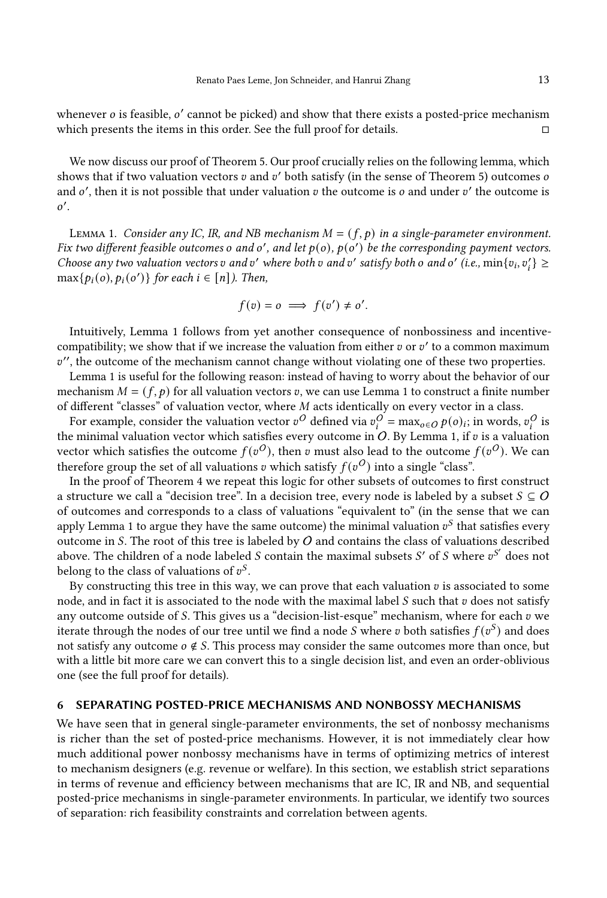whenever  $o$  is feasible,  $o'$  cannot be picked) and show that there exists a posted-price mechanism which presents the items in this order. See the full proof for details.  $□$ 

We now discuss our proof of Theorem [5.](#page-11-2) Our proof crucially relies on the following lemma, which shows that if two valuation vectors v and v' both satisfy (in the sense of Theorem [5\)](#page-11-2) outcomes o and o', then it is not possible that under valuation v the outcome is o and under v' the outcome is  $o'.$ 

<span id="page-13-0"></span>LEMMA 1. Consider any IC, IR, and NB mechanism  $M = (f, p)$  in a single-parameter environment. Fix two different feasible outcomes o and o', and let  $p(o)$ ,  $p(o')$  be the corresponding payment vectors. Choose any two valuation vectors v and v' where both v and v' satisfy both o and o' (i.e.,  $\min\{v_i, v'_i\} \ge$  $\max\{p_i(o), p_i(o')\}$  for each  $i \in [n]$ ). Then,

$$
f(v) = o \implies f(v') \neq o'.
$$

Intuitively, Lemma [1](#page-13-0) follows from yet another consequence of nonbossiness and incentivecompatibility; we show that if we increase the valuation from either  $v$  or  $v'$  to a common maximum  $v'$ , the outcome of the mechanism cannot change without violating one of these two properties.

Lemma [1](#page-13-0) is useful for the following reason: instead of having to worry about the behavior of our mechanism  $M = (f, p)$  for all valuation vectors v, we can use Lemma [1](#page-13-0) to construct a finite number of different "classes" of valuation vector, where  $M$  acts identically on every vector in a class.

For example, consider the valuation vector  $v^O$  defined via  $v^O_i = \max_{o \in O} p(o)_i$ ; in words,  $v^O_i$  is the minimal valuation vector which satisfies every outcome in O. By Lemma [1,](#page-13-0) if  $v$  is a valuation vector which satisfies the outcome  $f(v^O)$ , then v must also lead to the outcome  $f(v^O)$ . We can therefore group the set of all valuations v which satisfy  $f(v^O)$  into a single "class".

In the proof of Theorem [4](#page-11-0) we repeat this logic for other subsets of outcomes to first construct a structure we call a "decision tree". In a decision tree, every node is labeled by a subset  $S \subseteq O$ of outcomes and corresponds to a class of valuations "equivalent to" (in the sense that we can apply Lemma [1](#page-13-0) to argue they have the same outcome) the minimal valuation  $v^S$  that satisfies every outcome in S. The root of this tree is labeled by  $O$  and contains the class of valuations described above. The children of a node labeled S contain the maximal subsets S' of S where  $v^{S'}$  does not belong to the class of valuations of  $v^S$ .

By constructing this tree in this way, we can prove that each valuation  $v$  is associated to some node, and in fact it is associated to the node with the maximal label  $S$  such that  $v$  does not satisfy any outcome outside of S. This gives us a "decision-list-esque" mechanism, where for each  $v$  we iterate through the nodes of our tree until we find a node S where v both satisfies  $f(v^S)$  and does not satisfy any outcome  $\sigma \notin S$ . This process may consider the same outcomes more than once, but with a little bit more care we can convert this to a single decision list, and even an order-oblivious one (see the full proof for details).

## 6 SEPARATING POSTED-PRICE MECHANISMS AND NONBOSSY MECHANISMS

We have seen that in general single-parameter environments, the set of nonbossy mechanisms is richer than the set of posted-price mechanisms. However, it is not immediately clear how much additional power nonbossy mechanisms have in terms of optimizing metrics of interest to mechanism designers (e.g. revenue or welfare). In this section, we establish strict separations in terms of revenue and efficiency between mechanisms that are IC, IR and NB, and sequential posted-price mechanisms in single-parameter environments. In particular, we identify two sources of separation: rich feasibility constraints and correlation between agents.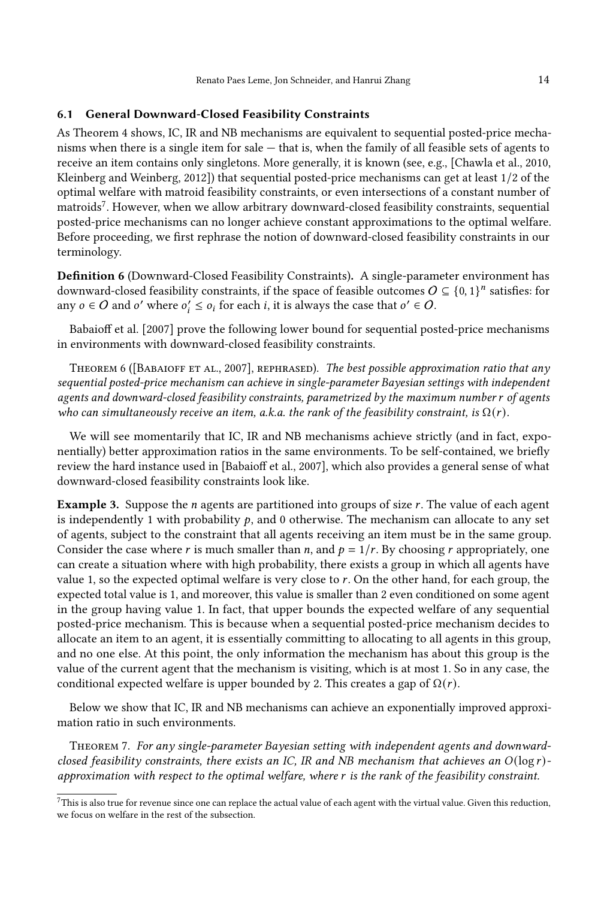## 6.1 General Downward-Closed Feasibility Constraints

As Theorem [4](#page-11-0) shows, IC, IR and NB mechanisms are equivalent to sequential posted-price mechanisms when there is a single item for sale — that is, when the family of all feasible sets of agents to receive an item contains only singletons. More generally, it is known (see, e.g., [\[Chawla et al., 2010,](#page-18-11) [Kleinberg and Weinberg, 2012\]](#page-19-25)) that sequential posted-price mechanisms can get at least 1/2 of the optimal welfare with matroid feasibility constraints, or even intersections of a constant number of matroids[7](#page-14-0) . However, when we allow arbitrary downward-closed feasibility constraints, sequential posted-price mechanisms can no longer achieve constant approximations to the optimal welfare. Before proceeding, we first rephrase the notion of downward-closed feasibility constraints in our terminology.

Definition 6 (Downward-Closed Feasibility Constraints). A single-parameter environment has downward-closed feasibility constraints, if the space of feasible outcomes  $O \subseteq \{0,1\}^n$  satisfies: for any  $o \in O$  and  $o'$  where  $o'_i \leq o_i$  for each *i*, it is always the case that  $o' \in O$ .

[Babaioff et al.](#page-18-0) [\[2007\]](#page-18-0) prove the following lower bound for sequential posted-price mechanisms in environments with downward-closed feasibility constraints.

THEOREM 6 ([BABAIOFF ET AL., 2007], REPHRASED). The best possible approximation ratio that any sequential posted-price mechanism can achieve in single-parameter Bayesian settings with independent agents and downward-closed feasibility constraints, parametrized by the maximum number r of agents who can simultaneously receive an item, a.k.a. the rank of the feasibility constraint, is  $\Omega(r)$ .

We will see momentarily that IC, IR and NB mechanisms achieve strictly (and in fact, exponentially) better approximation ratios in the same environments. To be self-contained, we briefly review the hard instance used in [\[Babaioff et al., 2007\]](#page-18-0), which also provides a general sense of what downward-closed feasibility constraints look like.

<span id="page-14-1"></span>Example 3. Suppose the  $n$  agents are partitioned into groups of size  $r$ . The value of each agent is independently 1 with probability  $p$ , and 0 otherwise. The mechanism can allocate to any set of agents, subject to the constraint that all agents receiving an item must be in the same group. Consider the case where r is much smaller than n, and  $p = 1/r$ . By choosing r appropriately, one can create a situation where with high probability, there exists a group in which all agents have value 1, so the expected optimal welfare is very close to  $r$ . On the other hand, for each group, the expected total value is 1, and moreover, this value is smaller than 2 even conditioned on some agent in the group having value 1. In fact, that upper bounds the expected welfare of any sequential posted-price mechanism. This is because when a sequential posted-price mechanism decides to allocate an item to an agent, it is essentially committing to allocating to all agents in this group, and no one else. At this point, the only information the mechanism has about this group is the value of the current agent that the mechanism is visiting, which is at most 1. So in any case, the conditional expected welfare is upper bounded by 2. This creates a gap of  $\Omega(r)$ .

Below we show that IC, IR and NB mechanisms can achieve an exponentially improved approximation ratio in such environments.

<span id="page-14-2"></span>THEOREM 7. For any single-parameter Bayesian setting with independent agents and downwardclosed feasibility constraints, there exists an IC, IR and NB mechanism that achieves an  $O(\log r)$ approximation with respect to the optimal welfare, where is the rank of the feasibility constraint.

<span id="page-14-0"></span> $^7\rm{This}$  is also true for revenue since one can replace the actual value of each agent with the virtual value. Given this reduction, we focus on welfare in the rest of the subsection.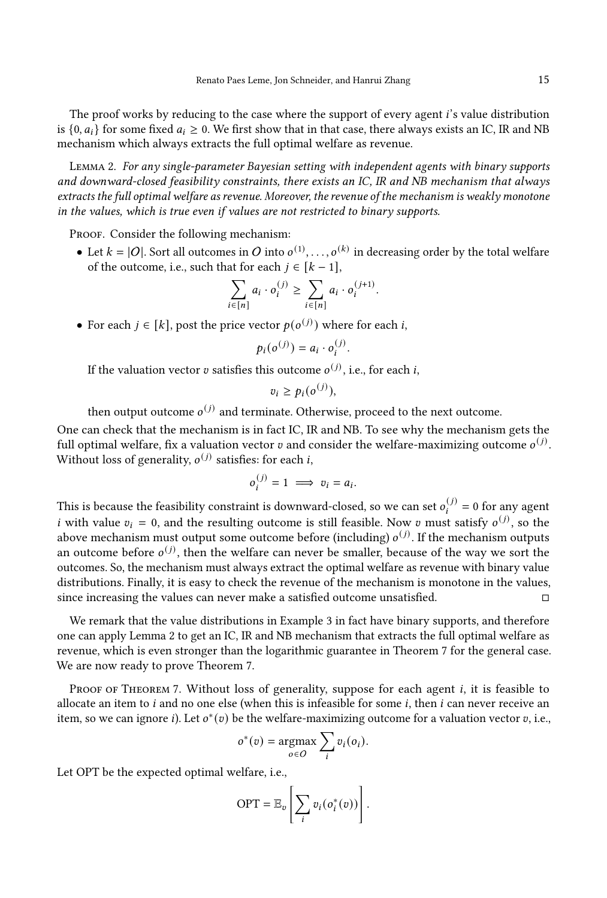The proof works by reducing to the case where the support of every agent *i*'s value distribution is  $\{0, a_i\}$  for some fixed  $a_i \ge 0$ . We first show that in that case, there always exists an IC, IR and NB mechanism which always extracts the full optimal welfare as revenue.

<span id="page-15-0"></span>Lemma 2. For any single-parameter Bayesian setting with independent agents with binary supports and downward-closed feasibility constraints, there exists an IC, IR and NB mechanism that always extracts the full optimal welfare as revenue. Moreover, the revenue of the mechanism is weakly monotone in the values, which is true even if values are not restricted to binary supports.

PROOF. Consider the following mechanism:

• Let  $k = |O|$ . Sort all outcomes in O into  $o^{(1)}, \ldots, o^{(k)}$  in decreasing order by the total welfare of the outcome, i.e., such that for each  $j \in [k-1]$ ,

.

$$
\sum_{i \in [n]} a_i \cdot o_i^{(j)} \ge \sum_{i \in [n]} a_i \cdot o_i^{(j+1)}
$$

• For each  $j \in [k]$ , post the price vector  $p(o^{(j)})$  where for each i,

$$
p_i(o^{(j)}) = a_i \cdot o_i^{(j)}.
$$

If the valuation vector  $v$  satisfies this outcome  $o^{(j)}$ , i.e., for each i.

$$
v_i \geq p_i(o^{(j)}),
$$

then output outcome  $o^{(j)}$  and terminate. Otherwise, proceed to the next outcome.

One can check that the mechanism is in fact IC, IR and NB. To see why the mechanism gets the full optimal welfare, fix a valuation vector v and consider the welfare-maximizing outcome  $o^{(j)}$ . Without loss of generality,  $o^{(j)}$  satisfies: for each *i*.

$$
o_i^{(j)} = 1 \implies v_i = a_i.
$$

This is because the feasibility constraint is downward-closed, so we can set  $o_i^{(j)} = 0$  for any agent *i* with value  $v_i = 0$ , and the resulting outcome is still feasible. Now v must satisfy  $o^{(j)}$ , so the above mechanism must output some outcome before (including)  $o^{(j)}$ . If the mechanism outputs an outcome before  $o^{(j)}$ , then the welfare can never be smaller, because of the way we sort the outcomes. So, the mechanism must always extract the optimal welfare as revenue with binary value distributions. Finally, it is easy to check the revenue of the mechanism is monotone in the values, since increasing the values can never make a satisfied outcome unsatisfied.  $□$ 

We remark that the value distributions in Example [3](#page-14-1) in fact have binary supports, and therefore one can apply Lemma [2](#page-15-0) to get an IC, IR and NB mechanism that extracts the full optimal welfare as revenue, which is even stronger than the logarithmic guarantee in Theorem [7](#page-14-2) for the general case. We are now ready to prove Theorem [7.](#page-14-2)

PROOF OF THEOREM [7.](#page-14-2) Without loss of generality, suppose for each agent *i*, it is feasible to allocate an item to  $i$  and no one else (when this is infeasible for some  $i$ , then  $i$  can never receive an item, so we can ignore *i*). Let  $o^*(v)$  be the welfare-maximizing outcome for a valuation vector  $v$ , i.e.,

$$
o^*(v) = \underset{o \in O}{\operatorname{argmax}} \sum_i v_i(o_i).
$$

Let OPT be the expected optimal welfare, i.e.,

$$
\text{OPT} = \mathbb{E}_v \left[ \sum_i v_i(o_i^*(v)) \right].
$$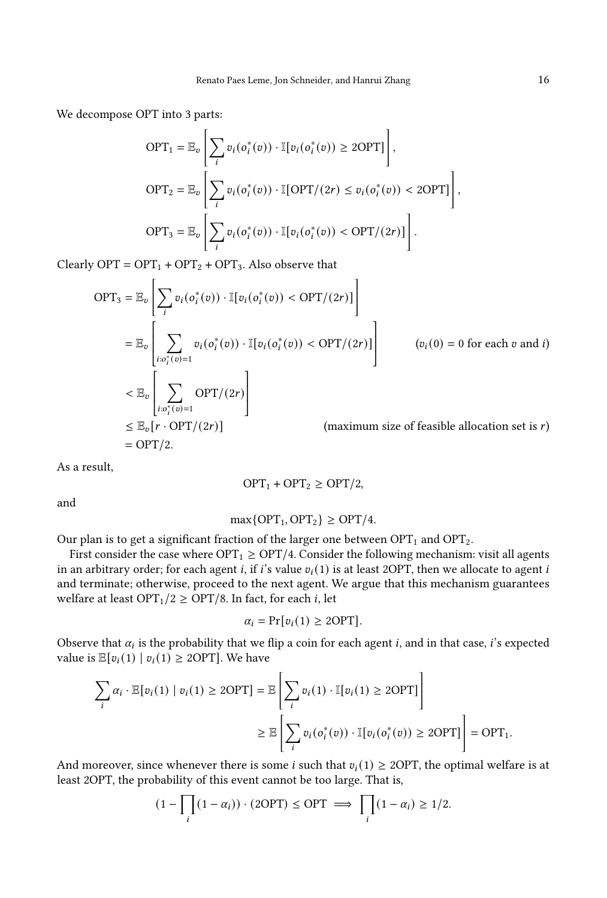We decompose OPT into 3 parts:

$$
\begin{aligned}\n\text{OPT}_1 &= \mathbb{E}_v \left[ \sum_i v_i(o_i^*(v)) \cdot \mathbb{I}[v_i(o_i^*(v)) \ge 2\text{OPT}] \right], \\
\text{OPT}_2 &= \mathbb{E}_v \left[ \sum_i v_i(o_i^*(v)) \cdot \mathbb{I}[\text{OPT}/(2r) \le v_i(o_i^*(v)) < 2\text{OPT}] \right], \\
\text{OPT}_3 &= \mathbb{E}_v \left[ \sum_i v_i(o_i^*(v)) \cdot \mathbb{I}[v_i(o_i^*(v)) < \text{OPT}/(2r)] \right].\n\end{aligned}
$$

Clearly OPT =  $OPT_1$  + OPT<sub>2</sub> + OPT<sub>3</sub>. Also observe that

$$
OPT_3 = \mathbb{E}_v \left[ \sum_i v_i(o_i^*(v)) \cdot \mathbb{I}[v_i(o_i^*(v)) < OPT/(2r)] \right]
$$
\n
$$
= \mathbb{E}_v \left[ \sum_{i: o_i^*(v) = 1} v_i(o_i^*(v)) \cdot \mathbb{I}[v_i(o_i^*(v)) < OPT/(2r)] \right] \qquad (v_i(0) = 0 \text{ for each } v \text{ and } i)
$$
\n
$$
\leftarrow \mathbb{E}_v \left[ \sum_{i: o_i^*(v) = 1} OPT/(2r) \right]
$$
\n
$$
\leq \mathbb{E}_v [r \cdot OPT/(2r)] \qquad \text{(maximum size of feasible allocation set is } r)
$$
\n
$$
= OPT/2.
$$

As a result,

$$
OPT_1 + OPT_2 \geq OPT/2,
$$

and

$$
\max\{OPT_1, OPT_2\} \ge \text{OPT}/4.
$$

Our plan is to get a significant fraction of the larger one between  $OPT_1$  and  $OPT_2$ .

First consider the case where  $\text{OPT}_1 \geq \text{OPT}/4$ . Consider the following mechanism: visit all agents in an arbitrary order; for each agent i, if i's value  $v_i(1)$  is at least 2OPT, then we allocate to agent i and terminate; otherwise, proceed to the next agent. We argue that this mechanism guarantees welfare at least OPT<sub>1</sub>/2  $\ge$  OPT/8. In fact, for each *i*, let

$$
\alpha_i = \Pr[v_i(1) \ge 2\text{OPT}].
$$

Observe that  $\alpha_i$  is the probability that we flip a coin for each agent *i*, and in that case, *i*'s expected value is  $\mathbb{E}[v_i(1) | v_i(1) \ge 2OPT]$ . We have

$$
\sum_{i} \alpha_{i} \cdot \mathbb{E}[v_{i}(1) | v_{i}(1) \ge 2\text{OPT}] = \mathbb{E}\left[\sum_{i} v_{i}(1) \cdot \mathbb{I}[v_{i}(1) \ge 2\text{OPT}]\right]
$$

$$
\ge \mathbb{E}\left[\sum_{i} v_{i}(o_{i}^{*}(v)) \cdot \mathbb{I}[v_{i}(o_{i}^{*}(v)) \ge 2\text{OPT}]\right] = \text{OPT}_{1}.
$$

And moreover, since whenever there is some *i* such that  $v_i(1) \ge 2$ OPT, the optimal welfare is at least 2OPT, the probability of this event cannot be too large. That is,

$$
(1 - \prod_i (1 - \alpha_i)) \cdot (2\text{OPT}) \le \text{OPT} \implies \prod_i (1 - \alpha_i) \ge 1/2.
$$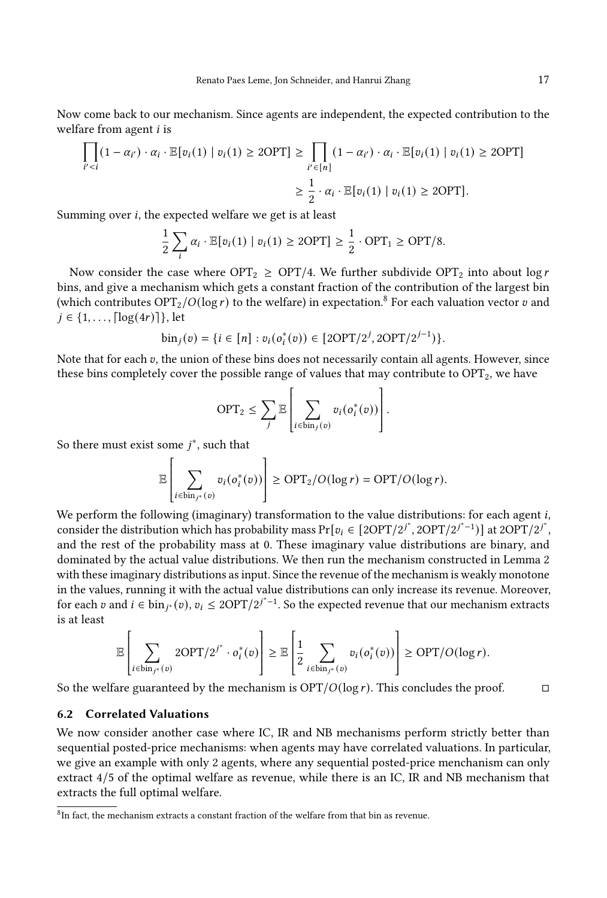Now come back to our mechanism. Since agents are independent, the expected contribution to the welfare from agent  $i$  is

$$
\prod_{i' < i} (1 - \alpha_{i'}) \cdot \alpha_i \cdot \mathbb{E}[v_i(1) \mid v_i(1) \ge 2\text{OPT}] \ge \prod_{i' \in [n]} (1 - \alpha_{i'}) \cdot \alpha_i \cdot \mathbb{E}[v_i(1) \mid v_i(1) \ge 2\text{OPT}]
$$
\n
$$
\ge \frac{1}{2} \cdot \alpha_i \cdot \mathbb{E}[v_i(1) \mid v_i(1) \ge 2\text{OPT}].
$$

Summing over  $i$ , the expected welfare we get is at least

$$
\frac{1}{2}\sum_{i}\alpha_{i}\cdot\mathbb{E}[v_{i}(1) | v_{i}(1) \ge 2\text{OPT}] \ge \frac{1}{2}\cdot\text{OPT}_{1} \ge \text{OPT}/8.
$$

Now consider the case where  $\text{OPT}_2 \geq \text{OPT}/4$ . We further subdivide  $\text{OPT}_2$  into about log r bins, and give a mechanism which gets a constant fraction of the contribution of the largest bin (which contributes  $OPT_2/O(\log r)$  to the welfare) in expectation.<sup>[8](#page-17-0)</sup> For each valuation vector v and  $i \in \{1, ..., \lceil \log(4r) \rceil\}$ , let

$$
\text{bin}_j(v) = \{ i \in [n] : v_i(o_i^*(v)) \in [2\text{OPT}/2^j, 2\text{OPT}/2^{j-1}) \}.
$$

Note that for each  $v$ , the union of these bins does not necessarily contain all agents. However, since these bins completely cover the possible range of values that may contribute to  $OPT_2$ , we have

$$
\text{OPT}_2 \leq \sum_j \mathbb{E}\left[\sum_{i \in \text{bin}_j(v)} v_i(o_i^*(v))\right].
$$

So there must exist some  $i^*$ , such that

$$
\mathbb{E}\left[\sum_{i\in \text{bin}_{j^*}(v)} v_i(o_i^*(v))\right] \ge \text{OPT}_2/O(\log r) = \text{OPT}/O(\log r).
$$

 We perform the following (imaginary) transformation to the value distributions: for each agent , consider the distribution which has probability mass  $Pr[v_i \in [2OPT/2^{j^*}, 2OPT/2^{j^*-1})]$  at  $2OPT/2^{j^*}$ , and the rest of the probability mass at 0. These imaginary value distributions are binary, and dominated by the actual value distributions. We then run the mechanism constructed in Lemma [2](#page-15-0) with these imaginary distributions as input. Since the revenue of the mechanism is weakly monotone in the values, running it with the actual value distributions can only increase its revenue. Moreover, for each *v* and *i* ∈ bin<sub>*i*\*</sub>(*v*),  $v_i$  ≤ 2OPT/2*j*<sup>\*-1</sup>. So the expected revenue that our mechanism extracts is at least

$$
\mathbb{E}\left[\sum_{i\in \text{bin}_{j^*}(v)} 2\text{OPT}/2^{j^*}\cdot o_i^*(v)\right] \geq \mathbb{E}\left[\frac{1}{2}\sum_{i\in \text{bin}_{j^*}(v)} v_i(o_i^*(v))\right] \geq \text{OPT}/O(\log r).
$$

So the welfare guaranteed by the mechanism is  $\overline{OPT/O(\log r)}$ . This concludes the proof.  $\Box$ 

## 6.2 Correlated Valuations

We now consider another case where IC, IR and NB mechanisms perform strictly better than sequential posted-price mechanisms: when agents may have correlated valuations. In particular, we give an example with only 2 agents, where any sequential posted-price menchanism can only extract 4/5 of the optimal welfare as revenue, while there is an IC, IR and NB mechanism that extracts the full optimal welfare.

<span id="page-17-0"></span> ${}^{8}$ In fact, the mechanism extracts a constant fraction of the welfare from that bin as revenue.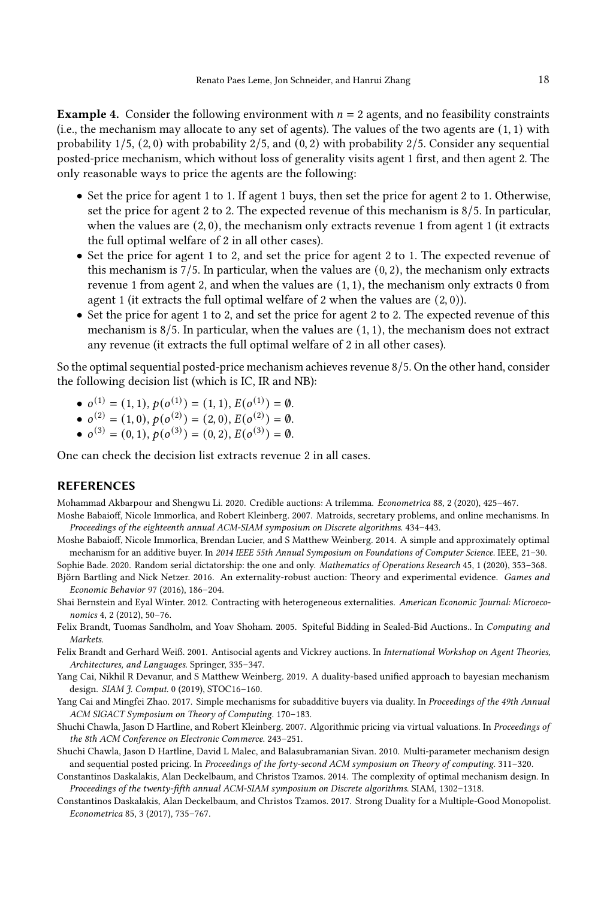**Example 4.** Consider the following environment with  $n = 2$  agents, and no feasibility constraints (i.e., the mechanism may allocate to any set of agents). The values of the two agents are (1, 1) with probability 1/5, (2, 0) with probability 2/5, and (0, 2) with probability 2/5. Consider any sequential posted-price mechanism, which without loss of generality visits agent 1 first, and then agent 2. The only reasonable ways to price the agents are the following:

- Set the price for agent 1 to 1. If agent 1 buys, then set the price for agent 2 to 1. Otherwise, set the price for agent 2 to 2. The expected revenue of this mechanism is 8/5. In particular, when the values are (2, 0), the mechanism only extracts revenue 1 from agent 1 (it extracts the full optimal welfare of 2 in all other cases).
- Set the price for agent 1 to 2, and set the price for agent 2 to 1. The expected revenue of this mechanism is  $7/5$ . In particular, when the values are  $(0, 2)$ , the mechanism only extracts revenue 1 from agent 2, and when the values are (1, 1), the mechanism only extracts 0 from agent 1 (it extracts the full optimal welfare of 2 when the values are (2, 0)).
- Set the price for agent 1 to 2, and set the price for agent 2 to 2. The expected revenue of this mechanism is  $8/5$ . In particular, when the values are  $(1, 1)$ , the mechanism does not extract any revenue (it extracts the full optimal welfare of 2 in all other cases).

So the optimal sequential posted-price mechanism achieves revenue 8/5. On the other hand, consider the following decision list (which is IC, IR and NB):

- $o^{(1)} = (1, 1), p(o^{(1)}) = (1, 1), E(o^{(1)}) = \emptyset.$
- $o^{(2)} = (1,0), p(o^{(2)}) = (2,0), E(o^{(2)}) = \emptyset.$
- $o^{(3)} = (0, 1), p(o^{(3)}) = (0, 2), E(o^{(3)}) = \emptyset.$

One can check the decision list extracts revenue 2 in all cases.

#### REFERENCES

<span id="page-18-2"></span><span id="page-18-0"></span>Mohammad Akbarpour and Shengwu Li. 2020. Credible auctions: A trilemma. Econometrica 88, 2 (2020), 425–467. Moshe Babaioff, Nicole Immorlica, and Robert Kleinberg. 2007. Matroids, secretary problems, and online mechanisms. In

<span id="page-18-12"></span>Proceedings of the eighteenth annual ACM-SIAM symposium on Discrete algorithms. 434–443. Moshe Babaioff, Nicole Immorlica, Brendan Lucier, and S Matthew Weinberg. 2014. A simple and approximately optimal

<span id="page-18-1"></span>mechanism for an additive buyer. In 2014 IEEE 55th Annual Symposium on Foundations of Computer Science. IEEE, 21–30. Sophie Bade. 2020. Random serial dictatorship: the one and only. Mathematics of Operations Research 45, 1 (2020), 353–368.

- <span id="page-18-3"></span>Björn Bartling and Nick Netzer. 2016. An externality-robust auction: Theory and experimental evidence. Games and Economic Behavior 97 (2016), 186–204.
- <span id="page-18-4"></span>Shai Bernstein and Eyal Winter. 2012. Contracting with heterogeneous externalities. American Economic Journal: Microeconomics 4, 2 (2012), 50–76.
- <span id="page-18-5"></span>Felix Brandt, Tuomas Sandholm, and Yoav Shoham. 2005. Spiteful Bidding in Sealed-Bid Auctions.. In Computing and Markets.
- <span id="page-18-6"></span>Felix Brandt and Gerhard Weiß. 2001. Antisocial agents and Vickrey auctions. In International Workshop on Agent Theories, Architectures, and Languages. Springer, 335–347.
- <span id="page-18-9"></span>Yang Cai, Nikhil R Devanur, and S Matthew Weinberg. 2019. A duality-based unified approach to bayesian mechanism design. SIAM J. Comput. 0 (2019), STOC16–160.
- <span id="page-18-13"></span>Yang Cai and Mingfei Zhao. 2017. Simple mechanisms for subadditive buyers via duality. In Proceedings of the 49th Annual ACM SIGACT Symposium on Theory of Computing. 170–183.
- <span id="page-18-10"></span>Shuchi Chawla, Jason D Hartline, and Robert Kleinberg. 2007. Algorithmic pricing via virtual valuations. In Proceedings of the 8th ACM Conference on Electronic Commerce. 243–251.
- <span id="page-18-11"></span>Shuchi Chawla, Jason D Hartline, David L Malec, and Balasubramanian Sivan. 2010. Multi-parameter mechanism design and sequential posted pricing. In Proceedings of the forty-second ACM symposium on Theory of computing. 311–320.
- <span id="page-18-8"></span>Constantinos Daskalakis, Alan Deckelbaum, and Christos Tzamos. 2014. The complexity of optimal mechanism design. In Proceedings of the twenty-fifth annual ACM-SIAM symposium on Discrete algorithms. SIAM, 1302–1318.
- <span id="page-18-7"></span>Constantinos Daskalakis, Alan Deckelbaum, and Christos Tzamos. 2017. Strong Duality for a Multiple-Good Monopolist. Econometrica 85, 3 (2017), 735–767.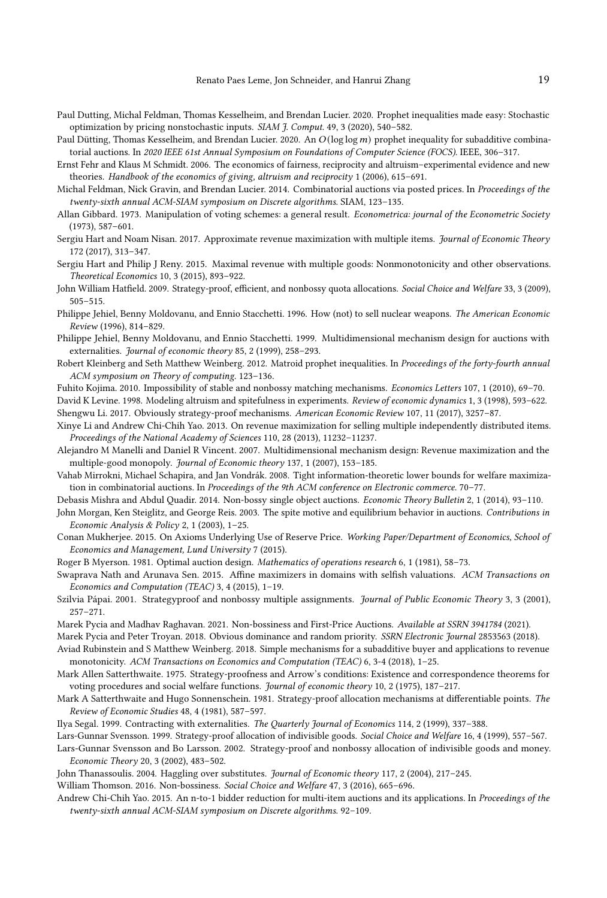- <span id="page-19-30"></span>Paul Dutting, Michal Feldman, Thomas Kesselheim, and Brendan Lucier. 2020. Prophet inequalities made easy: Stochastic optimization by pricing nonstochastic inputs. SIAM J. Comput. 49, 3 (2020), 540–582.
- <span id="page-19-32"></span>Paul Dütting, Thomas Kesselheim, and Brendan Lucier. 2020. An  $O(\log\log m)$  prophet inequality for subadditive combinatorial auctions. In 2020 IEEE 61st Annual Symposium on Foundations of Computer Science (FOCS). IEEE, 306–317.
- <span id="page-19-18"></span>Ernst Fehr and Klaus M Schmidt. 2006. The economics of fairness, reciprocity and altruism–experimental evidence and new theories. Handbook of the economics of giving, altruism and reciprocity 1 (2006), 615–691.
- <span id="page-19-31"></span>Michal Feldman, Nick Gravin, and Brendan Lucier. 2014. Combinatorial auctions via posted prices. In Proceedings of the twenty-sixth annual ACM-SIAM symposium on Discrete algorithms. SIAM, 123–135.
- <span id="page-19-0"></span>Allan Gibbard. 1973. Manipulation of voting schemes: a general result. Econometrica: journal of the Econometric Society (1973), 587–601.
- <span id="page-19-26"></span>Sergiu Hart and Noam Nisan. 2017. Approximate revenue maximization with multiple items. Journal of Economic Theory 172 (2017), 313–347.
- <span id="page-19-21"></span>Sergiu Hart and Philip J Reny. 2015. Maximal revenue with multiple goods: Nonmonotonicity and other observations. Theoretical Economics 10, 3 (2015), 893–922.
- <span id="page-19-4"></span>John William Hatfield. 2009. Strategy-proof, efficient, and nonbossy quota allocations. Social Choice and Welfare 33, 3 (2009), 505–515.
- <span id="page-19-15"></span>Philippe Jehiel, Benny Moldovanu, and Ennio Stacchetti. 1996. How (not) to sell nuclear weapons. The American Economic Review (1996), 814–829.
- <span id="page-19-16"></span>Philippe Jehiel, Benny Moldovanu, and Ennio Stacchetti. 1999. Multidimensional mechanism design for auctions with externalities. Journal of economic theory 85, 2 (1999), 258–293.
- <span id="page-19-25"></span>Robert Kleinberg and Seth Matthew Weinberg. 2012. Matroid prophet inequalities. In Proceedings of the forty-fourth annual ACM symposium on Theory of computing. 123–136.
- <span id="page-19-7"></span>Fuhito Kojima. 2010. Impossibility of stable and nonbossy matching mechanisms. Economics Letters 107, 1 (2010), 69–70.
- <span id="page-19-19"></span><span id="page-19-13"></span>David K Levine. 1998. Modeling altruism and spitefulness in experiments. Review of economic dynamics 1, 3 (1998), 593–622. Shengwu Li. 2017. Obviously strategy-proof mechanisms. American Economic Review 107, 11 (2017), 3257–87.
- <span id="page-19-27"></span>Xinye Li and Andrew Chi-Chih Yao. 2013. On revenue maximization for selling multiple independently distributed items. Proceedings of the National Academy of Sciences 110, 28 (2013), 11232–11237.
- <span id="page-19-22"></span>Alejandro M Manelli and Daniel R Vincent. 2007. Multidimensional mechanism design: Revenue maximization and the multiple-good monopoly. Journal of Economic theory 137, 1 (2007), 153–185.
- <span id="page-19-24"></span>Vahab Mirrokni, Michael Schapira, and Jan Vondrák. 2008. Tight information-theoretic lower bounds for welfare maximization in combinatorial auctions. In Proceedings of the 9th ACM conference on Electronic commerce. 70-77.
- <span id="page-19-9"></span>Debasis Mishra and Abdul Quadir. 2014. Non-bossy single object auctions. Economic Theory Bulletin 2, 1 (2014), 93–110.
- <span id="page-19-20"></span>John Morgan, Ken Steiglitz, and George Reis. 2003. The spite motive and equilibrium behavior in auctions. Contributions in Economic Analysis & Policy 2, 1 (2003), 1–25.
- <span id="page-19-11"></span>Conan Mukherjee. 2015. On Axioms Underlying Use of Reserve Price. Working Paper/Department of Economics, School of Economics and Management, Lund University 7 (2015).
- <span id="page-19-33"></span>Roger B Myerson. 1981. Optimal auction design. Mathematics of operations research 6, 1 (1981), 58–73.
- <span id="page-19-10"></span>Swaprava Nath and Arunava Sen. 2015. Affine maximizers in domains with selfish valuations. ACM Transactions on Economics and Computation (TEAC) 3, 4 (2015), 1–19.
- <span id="page-19-5"></span>Szilvia Pápai. 2001. Strategyproof and nonbossy multiple assignments. Journal of Public Economic Theory 3, 3 (2001), 257–271.
- <span id="page-19-12"></span>Marek Pycia and Madhav Raghavan. 2021. Non-bossiness and First-Price Auctions. Available at SSRN 3941784 (2021).
- <span id="page-19-29"></span><span id="page-19-14"></span>Marek Pycia and Peter Troyan. 2018. Obvious dominance and random priority. SSRN Electronic Journal 2853563 (2018).
- Aviad Rubinstein and S Matthew Weinberg. 2018. Simple mechanisms for a subadditive buyer and applications to revenue monotonicity. ACM Transactions on Economics and Computation (TEAC) 6, 3-4 (2018), 1-25.
- <span id="page-19-1"></span>Mark Allen Satterthwaite. 1975. Strategy-proofness and Arrow's conditions: Existence and correspondence theorems for voting procedures and social welfare functions. Journal of economic theory 10, 2 (1975), 187–217.
- <span id="page-19-2"></span>Mark A Satterthwaite and Hugo Sonnenschein. 1981. Strategy-proof allocation mechanisms at differentiable points. The Review of Economic Studies 48, 4 (1981), 587–597.
- <span id="page-19-17"></span>Ilya Segal. 1999. Contracting with externalities. The Quarterly Journal of Economics 114, 2 (1999), 337–388.
- <span id="page-19-6"></span>Lars-Gunnar Svensson. 1999. Strategy-proof allocation of indivisible goods. Social Choice and Welfare 16, 4 (1999), 557–567.
- <span id="page-19-8"></span>Lars-Gunnar Svensson and Bo Larsson. 2002. Strategy-proof and nonbossy allocation of indivisible goods and money. Economic Theory 20, 3 (2002), 483–502.
- <span id="page-19-23"></span>John Thanassoulis. 2004. Haggling over substitutes. Journal of Economic theory 117, 2 (2004), 217–245.
- <span id="page-19-3"></span>William Thomson. 2016. Non-bossiness. Social Choice and Welfare 47, 3 (2016), 665–696.
- <span id="page-19-28"></span>Andrew Chi-Chih Yao. 2015. An n-to-1 bidder reduction for multi-item auctions and its applications. In Proceedings of the twenty-sixth annual ACM-SIAM symposium on Discrete algorithms. 92–109.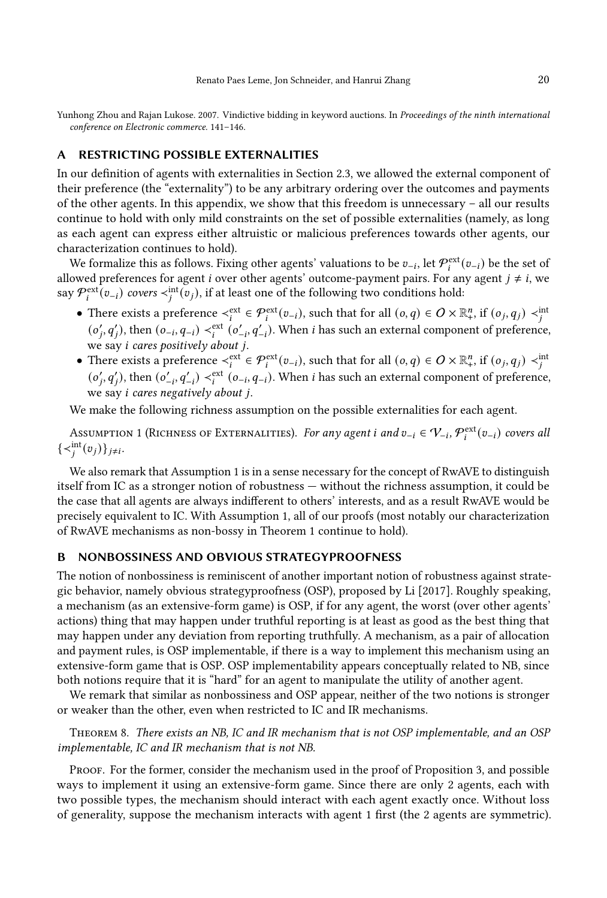<span id="page-20-1"></span>Yunhong Zhou and Rajan Lukose. 2007. Vindictive bidding in keyword auctions. In Proceedings of the ninth international conference on Electronic commerce. 141–146.

## <span id="page-20-2"></span>A RESTRICTING POSSIBLE EXTERNALITIES

In our definition of agents with externalities in Section [2.3,](#page-6-3) we allowed the external component of their preference (the "externality") to be any arbitrary ordering over the outcomes and payments of the other agents. In this appendix, we show that this freedom is unnecessary – all our results continue to hold with only mild constraints on the set of possible externalities (namely, as long as each agent can express either altruistic or malicious preferences towards other agents, our characterization continues to hold).

We formalize this as follows. Fixing other agents' valuations to be  $v_{-i}$ , let  $\mathcal{P}_i^{\text{ext}}(v_{-i})$  be the set of allowed preferences for agent *i* over other agents' outcome-payment pairs. For any agent  $j \neq i$ , we say  $\mathcal{P}_i^{\text{ext}}(v_{-i})$  covers  $\lt_{i}^{\text{int}}(v_j)$ , if at least one of the following two conditions hold:

- There exists a preference  $\prec_i^{\text{ext}} \in \mathcal{P}_i^{\text{ext}}(v_{-i})$ , such that for all  $(o, q) \in O \times \mathbb{R}_+^n$ , if  $(o_j, q_j) \prec_j^{\text{int}}$  $(o'_j, q'_j)$ , then  $(o_{-i}, q_{-i}) \prec_i^{\text{ext}} (o'_{-i}, q'_{-i})$ . When *i* has such an external component of preference, we say *i* cares positively about j.
- There exists a preference  $\lt_i^{\text{ext}} \in \mathcal{P}_i^{\text{ext}}(v_{-i})$ , such that for all  $(o, q) \in O \times \mathbb{R}_+^n$ , if  $(o_j, q_j) \lt_i^{\text{int}}$  $(o'_j, q'_j)$ , then  $(o'_{-i}, q'_{-i}) \prec_i^{ext} (o_{-i}, q_{-i})$ . When *i* has such an external component of preference, we say  $i$  cares negatively about  $i$ .

We make the following richness assumption on the possible externalities for each agent.

<span id="page-20-3"></span>Assumption 1 (Richness of Externalities). For any agent  $i$  and  $v_{-i} \in V_{-i}$ ,  $\mathcal{P}^{\text{ext}}_i(v_{-i})$  covers all  $\{\prec_i^{\text{int}}(v_j)\}_{j\neq i}.$ 

We also remark that Assumption [1](#page-20-3) is in a sense necessary for the concept of RwAVE to distinguish itself from IC as a stronger notion of robustness — without the richness assumption, it could be the case that all agents are always indifferent to others' interests, and as a result RwAVE would be precisely equivalent to IC. With Assumption 1, all of our proofs (most notably our characterization of RwAVE mechanisms as non-bossy in Theorem [1](#page-7-1) continue to hold).

#### <span id="page-20-0"></span>B NONBOSSINESS AND OBVIOUS STRATEGYPROOFNESS

The notion of nonbossiness is reminiscent of another important notion of robustness against strategic behavior, namely obvious strategyproofness (OSP), proposed by [Li](#page-19-13) [\[2017\]](#page-19-13). Roughly speaking, a mechanism (as an extensive-form game) is OSP, if for any agent, the worst (over other agents' actions) thing that may happen under truthful reporting is at least as good as the best thing that may happen under any deviation from reporting truthfully. A mechanism, as a pair of allocation and payment rules, is OSP implementable, if there is a way to implement this mechanism using an extensive-form game that is OSP. OSP implementability appears conceptually related to NB, since both notions require that it is "hard" for an agent to manipulate the utility of another agent.

We remark that similar as nonbossiness and OSP appear, neither of the two notions is stronger or weaker than the other, even when restricted to IC and IR mechanisms.

Theorem 8. There exists an NB, IC and IR mechanism that is not OSP implementable, and an OSP implementable, IC and IR mechanism that is not NB.

Proof. For the former, consider the mechanism used in the proof of Proposition [3,](#page-10-0) and possible ways to implement it using an extensive-form game. Since there are only 2 agents, each with two possible types, the mechanism should interact with each agent exactly once. Without loss of generality, suppose the mechanism interacts with agent 1 first (the 2 agents are symmetric).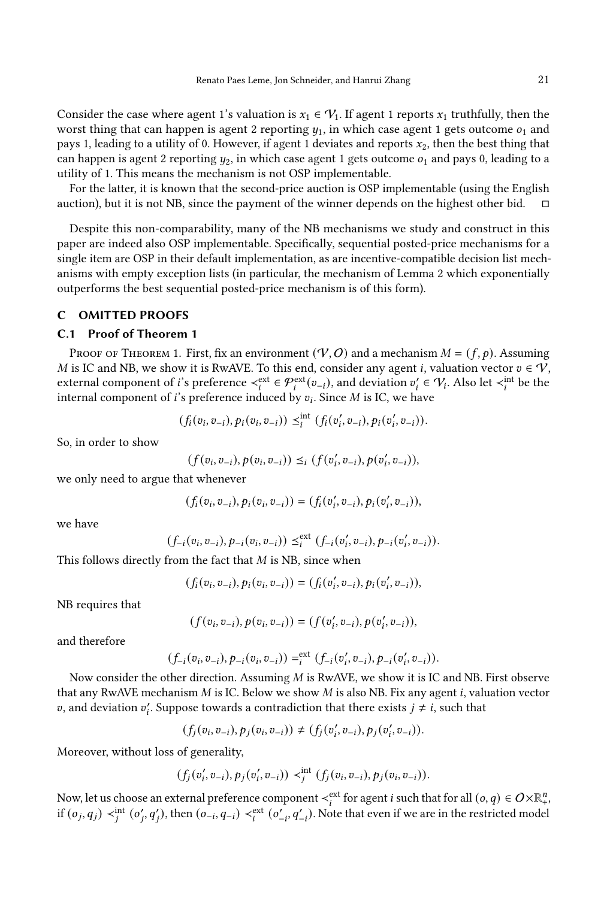Consider the case where agent 1's valuation is  $x_1 \in V_1$ . If agent 1 reports  $x_1$  truthfully, then the worst thing that can happen is agent 2 reporting  $y_1$ , in which case agent 1 gets outcome  $o_1$  and pays 1, leading to a utility of 0. However, if agent 1 deviates and reports  $x_2$ , then the best thing that can happen is agent 2 reporting  $y_2$ , in which case agent 1 gets outcome  $o_1$  and pays 0, leading to a utility of 1. This means the mechanism is not OSP implementable.

For the latter, it is known that the second-price auction is OSP implementable (using the English auction), but it is not NB, since the payment of the winner depends on the highest other bid.  $\Box$ 

Despite this non-comparability, many of the NB mechanisms we study and construct in this paper are indeed also OSP implementable. Specifically, sequential posted-price mechanisms for a single item are OSP in their default implementation, as are incentive-compatible decision list mechanisms with empty exception lists (in particular, the mechanism of Lemma [2](#page-15-0) which exponentially outperforms the best sequential posted-price mechanism is of this form).

#### <span id="page-21-0"></span>C OMITTED PROOFS

#### C.1 Proof of Theorem [1](#page-7-1)

PROOF OF THEOREM [1.](#page-7-1) First, fix an environment  $(\mathcal{V}, O)$  and a mechanism  $M = (f, p)$ . Assuming M is IC and NB, we show it is RwAVE. To this end, consider any agent *i*, valuation vector  $v \in \mathcal{V}$ , external component of *i*'s preference  $\prec_i^{ext} \in \mathcal{P}_i^{ext}(v_{-i})$ , and deviation  $v'_i \in \mathcal{V}_i$ . Also let  $\prec_i^{int}$  be the internal component of *i*'s preference induced by  $v_i$ . Since *M* is IC, we have

$$
(f_i(v_i, v_{-i}), p_i(v_i, v_{-i})) \leq_i^{int} (f_i(v_i', v_{-i}), p_i(v_i', v_{-i})).
$$

So, in order to show

$$
(f(v_i, v_{-i}), p(v_i, v_{-i})) \leq_i (f(v'_i, v_{-i}), p(v'_i, v_{-i})),
$$

we only need to argue that whenever

$$
(f_i(v_i, v_{-i}), p_i(v_i, v_{-i})) = (f_i(v'_i, v_{-i}), p_i(v'_i, v_{-i})),
$$

we have

$$
(f_{-i}(v_i, v_{-i}), p_{-i}(v_i, v_{-i})) \leq_i^{\text{ext}} (f_{-i}(v_i', v_{-i}), p_{-i}(v_i', v_{-i})).
$$

This follows directly from the fact that  $M$  is NB, since when

$$
(f_i(v_i, v_{-i}), p_i(v_i, v_{-i})) = (f_i(v_i', v_{-i}), p_i(v_i', v_{-i})),
$$

NB requires that

$$
(f(v_i, v_{-i}), p(v_i, v_{-i})) = (f(v'_i, v_{-i}), p(v'_i, v_{-i})),
$$

and therefore

$$
(f_{-i}(v_i, v_{-i}), p_{-i}(v_i, v_{-i})) = \iota^{ext} (f_{-i}(v_i', v_{-i}), p_{-i}(v_i', v_{-i})).
$$

Now consider the other direction. Assuming  $M$  is RwAVE, we show it is IC and NB. First observe that any RwAVE mechanism  $M$  is IC. Below we show  $M$  is also NB. Fix any agent  $i$ , valuation vector v, and deviation  $v_i'$ . Suppose towards a contradiction that there exists  $j \neq i$ , such that

$$
(f_j(v_i, v_{-i}), p_j(v_i, v_{-i})) \neq (f_j(v'_i, v_{-i}), p_j(v'_i, v_{-i})).
$$

Moreover, without loss of generality,

$$
(f_j(v'_i, v_{-i}), p_j(v'_i, v_{-i})) \prec_i^{\text{int}} (f_j(v_i, v_{-i}), p_j(v_i, v_{-i})).
$$

Now, let us choose an external preference component  $\prec_i^{\text{ext}}$  for agent  $i$  such that for all  $(o,q)\in O\!\times\!\mathbb{R}_+^n$ , if  $(o_j, q_j) \prec_j^{\text{int}} (o'_j, q'_j)$ , then  $(o_{-i}, q_{-i}) \prec_i^{\text{ext}} (o'_{-i}, q'_{-i})$ . Note that even if we are in the restricted model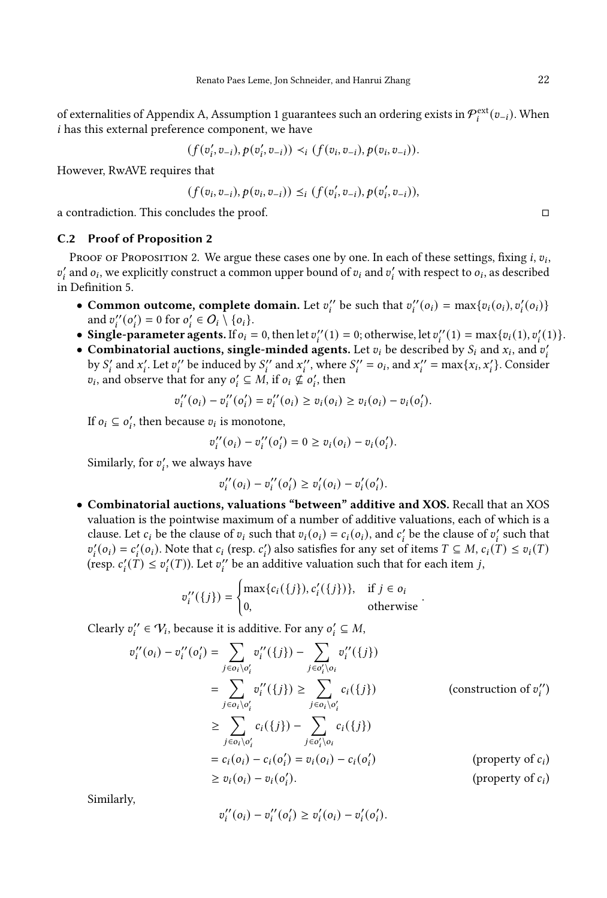of externalities of Appendix [A,](#page-20-2) Assumption [1](#page-20-3) guarantees such an ordering exists in  $\mathcal{P}^{\text{ext}}_{i}(v_{-i})$ . When has this external preference component, we have

$$
(f(v'_i, v_{-i}), p(v'_i, v_{-i})) \prec_i (f(v_i, v_{-i}), p(v_i, v_{-i})).
$$

However, RwAVE requires that

$$
(f(v_i, v_{-i}), p(v_i, v_{-i})) \leq_i (f(v'_i, v_{-i}), p(v'_i, v_{-i})),
$$

a contradiction. This concludes the proof. □

#### C.2 Proof of Proposition [2](#page-9-0)

Proof of Proposition [2.](#page-9-0) We argue these cases one by one. In each of these settings, fixing *i*,  $v_i$ ,  $v'_i$  and  $o_i$ , we explicitly construct a common upper bound of  $v_i$  and  $v'_i$  with respect to  $o_i$ , as described in Definition [5.](#page-8-0)

- Common outcome, complete domain. Let  $v''_i$  be such that  $v''_i(o_i) = \max\{v_i(o_i), v'_i(o_i)\}$ and  $v_i''(o_i') = 0$  for  $o_i' \in O_i \setminus \{o_i\}.$
- Single-parameter agents. If  $o_i = 0$ , then let  $v''_i(1) = 0$ ; otherwise, let  $v''_i(1) = \max\{v_i(1), v'_i(1)\}.$
- Combinatorial auctions, single-minded agents. Let  $v_i$  be described by  $S_i$  and  $x_i$ , and  $v'_i$ by S' and x'. Let v'' be induced by S'' and x'', where  $S_i'' = o_i$ , and  $x_i'' = \max\{x_i, x_i'\}$ . Consider  $v_i$ , and observe that for any  $o'_i \subseteq M$ , if  $o_i \nsubseteq o'_i$ , then

$$
v''_i(o_i) - v''_i(o'_i) = v''_i(o_i) \ge v_i(o_i) \ge v_i(o_i) - v_i(o'_i).
$$

If  $o_i \subseteq o'_i$ , then because  $v_i$  is monotone,

$$
v''_i(o_i) - v''_i(o'_i) = 0 \ge v_i(o_i) - v_i(o'_i).
$$

Similarly, for  $v_i'$ , we always have

$$
v''_i(o_i) - v''_i(o'_i) \ge v'_i(o_i) - v'_i(o'_i).
$$

• Combinatorial auctions, valuations "between" additive and XOS. Recall that an XOS valuation is the pointwise maximum of a number of additive valuations, each of which is a clause. Let  $c_i$  be the clause of  $v_i$  such that  $v_i(o_i) = c_i(o_i)$ , and  $c'_i$  be the clause of  $v'_i$  such that  $v'_i(o_i) = c'_i(o_i)$ . Note that  $c_i$  (resp.  $c'_i$ ) also satisfies for any set of items  $T \subseteq M$ ,  $c_i(T) \le v_i(T)$ (resp.  $c_i'(T) \leq v_i'(T)$ ). Let  $v_i''$  be an additive valuation such that for each item j,

$$
v_i''(\{j\}) = \begin{cases} \max\{c_i(\{j\}), c_i'(\{j\})\}, & \text{if } j \in o_i \\ 0, & \text{otherwise} \end{cases}
$$

Clearly  $v_i^{\prime\prime} \in V_i$ , because it is additive. For any  $o_i^{\prime} \subseteq M$ ,

$$
v_i''(o_i) - v_i''(o_i') = \sum_{j \in o_i \setminus o_i'} v_i''(\{j\}) - \sum_{j \in o_i' \setminus o_i} v_i''(\{j\})
$$
  
\n
$$
= \sum_{j \in o_i \setminus o_i'} v_i''(\{j\}) \ge \sum_{j \in o_i \setminus o_i'} c_i(\{j\})
$$
 (construction of  $v_i''$ )  
\n
$$
\ge \sum_{j \in o_i \setminus o_i'} c_i(\{j\}) - \sum_{j \in o_i' \setminus o_i} c_i(\{j\})
$$
  
\n
$$
= c_i(o_i) - c_i(o_i') = v_i(o_i) - c_i(o_i')
$$
 (property of  $c_i$ )  
\n
$$
\ge v_i(o_i) - v_i(o_i').
$$
 (property of  $c_i$ )

.

Similarly,

$$
v''_i(o_i) - v''_i(o'_i) \ge v'_i(o_i) - v'_i(o'_i).
$$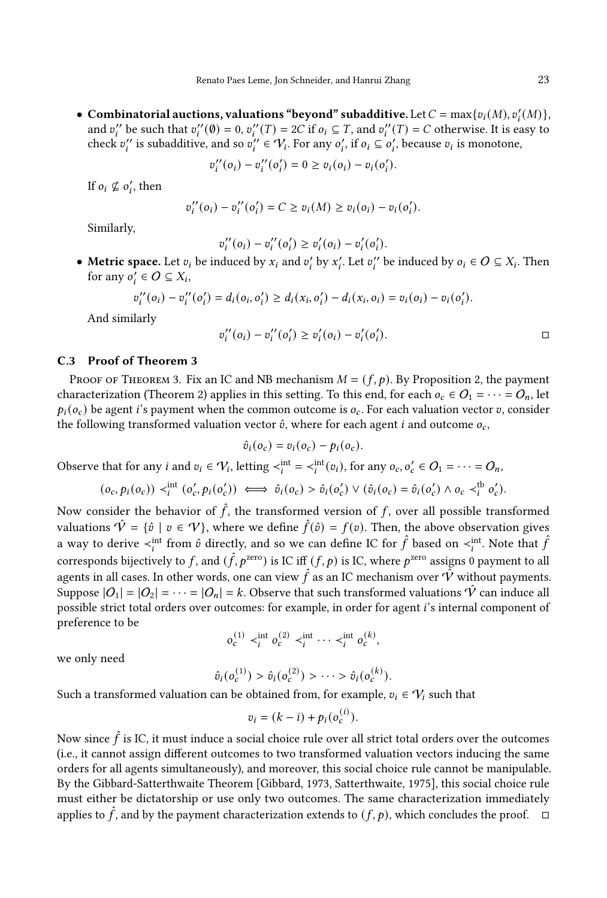• Combinatorial auctions, valuations "beyond" subadditive. Let  $C = \max\{v_i(M), v'_i(M)\},$ and  $v''_i$  be such that  $v''_i(\emptyset) = 0$ ,  $v''_i(T) = 2C$  if  $o_i \subseteq T$ , and  $v''_i(T) = C$  otherwise. It is easy to check  $v''_i$  is subadditive, and so  $v''_i \in V_i$ . For any  $o'_i$ , if  $o_i \subseteq o'_i$ , because  $v_i$  is monotone,

$$
v''_i(o_i) - v''_i(o'_i) = 0 \ge v_i(o_i) - v_i(o'_i).
$$

If  $o_i \nsubseteq o'_i$ , then

$$
v''_i(o_i) - v''_i(o'_i) = C \ge v_i(M) \ge v_i(o_i) - v_i(o'_i).
$$

Similarly,

$$
v''_i(o_i) - v''_i(o'_i) \ge v'_i(o_i) - v'_i(o'_i).
$$

• Metric space. Let  $v_i$  be induced by  $x_i$  and  $v'_i$  by  $x'_i$ . Let  $v''_i$  be induced by  $o_i \in O \subseteq X_i$ . Then for any  $o_i' \in O \subseteq X_i$ ,

$$
v_i''(o_i) - v_i''(o_i') = d_i(o_i, o_i') \ge d_i(x_i, o_i') - d_i(x_i, o_i) = v_i(o_i) - v_i(o_i').
$$

And similarly

$$
v_i''(o_i) - v_i''(o_i') \ge v_i'(o_i) - v_i'(o_i').
$$

#### C.3 Proof of Theorem [3](#page-10-1)

PROOF OF THEOREM [3.](#page-10-1) Fix an IC and NB mechanism  $M = (f, p)$ . By Proposition [2,](#page-9-0) the payment characterization (Theorem [2\)](#page-9-1) applies in this setting. To this end, for each  $o_c \in O_1 = \cdots = O_n$ , let  $p_i(o_c)$  be agent i's payment when the common outcome is  $o_c$ . For each valuation vector v, consider the following transformed valuation vector  $\hat{v}$ , where for each agent *i* and outcome  $o_c$ ,

$$
\hat{v}_i(o_c) = v_i(o_c) - p_i(o_c).
$$

Observe that for any *i* and  $v_i \in V_i$ , letting  $\langle v_i^{int} = \langle v_i^{int}(v_i) \rangle$ , for any  $o_c, o_c' \in O_1 = \cdots = O_n$ ,

$$
(o_c, p_i(o_c)) \prec_i^{\text{int}} (o'_c, p_i(o'_c)) \iff \hat{v}_i(o_c) > \hat{v}_i(o'_c) \lor (\hat{v}_i(o_c) = \hat{v}_i(o'_c) \land o_c \prec_i^{\text{tb}} o'_c).
$$

Now consider the behavior of  $\hat{f}$ , the transformed version of f, over all possible transformed valuations  $\hat{\mathcal{V}} = \{\hat{v} \mid v \in \mathcal{V}\}\$ , where we define  $\hat{f}(\hat{v}) = f(v)$ . Then, the above observation gives a way to derive  $\lt_i$ <sup>int</sup> from  $\hat{v}$  directly, and so we can define IC for  $\hat{f}$  based on  $\lt_i$ <sup>int</sup>. Note that  $\hat{f}$ corresponds bijectively to f, and  $(\hat{f}, p^{\text{zero}})$  is IC iff  $(f, p)$  is IC, where  $p^{\text{zero}}$  assigns 0 payment to all agents in all cases. In other words, one can view  $\hat{f}$  as an IC mechanism over  $\hat{V}$  without payments. Suppose  $|O_1| = |O_2| = \cdots = |O_n| = k$ . Observe that such transformed valuations  $\hat{V}$  can induce all possible strict total orders over outcomes: for example, in order for agent i's internal component of preference to be

$$
o_c^{(1)} \prec_i^{\text{int}} o_c^{(2)} \prec_i^{\text{int}} \cdots \prec_i^{\text{int}} o_c^{(k)},
$$

we only need

$$
\hat{v}_i(o_c^{(1)}) > \hat{v}_i(o_c^{(2)}) > \cdots > \hat{v}_i(o_c^{(k)}).
$$

Such a transformed valuation can be obtained from, for example,  $v_i \in V_i$  such that

$$
v_i = (k - i) + p_i(o_c^{(i)}).
$$

Now since  $\hat{f}$  is IC, it must induce a social choice rule over all strict total orders over the outcomes (i.e., it cannot assign different outcomes to two transformed valuation vectors inducing the same orders for all agents simultaneously), and moreover, this social choice rule cannot be manipulable. By the Gibbard-Satterthwaite Theorem [\[Gibbard, 1973,](#page-19-0) [Satterthwaite, 1975\]](#page-19-1), this social choice rule must either be dictatorship or use only two outcomes. The same characterization immediately applies to  $\hat{f}$ , and by the payment characterization extends to  $(f, p)$ , which concludes the proof.  $\Box$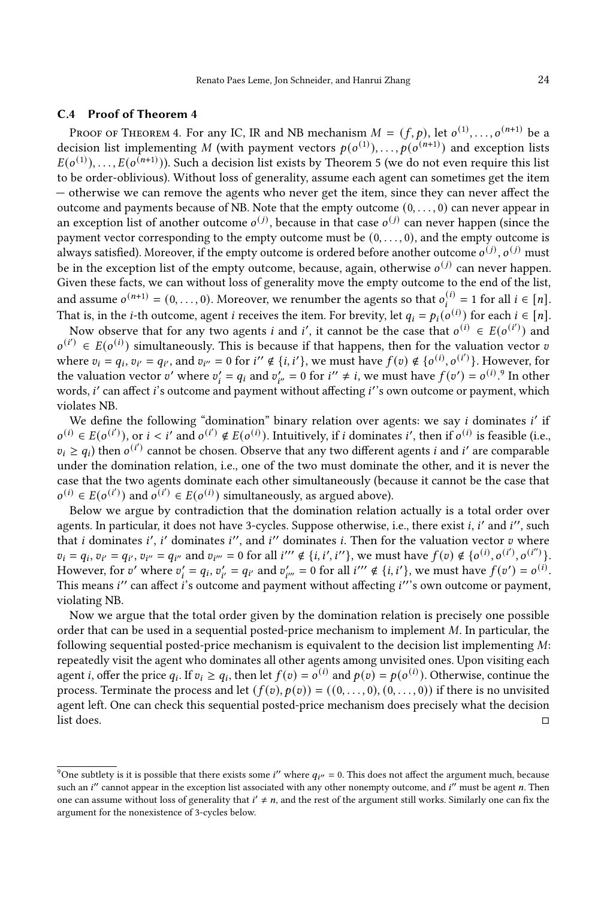#### C.4 Proof of Theorem [4](#page-11-0)

PROOF OF THEOREM [4.](#page-11-0) For any IC, IR and NB mechanism  $M = (f, p)$ , let  $o^{(1)}, \ldots, o^{(n+1)}$  be a decision list implementing M (with payment vectors  $p(o^{(1)}), \ldots, p(o^{(n+1)})$  and exception lists  $E(o^{(1)}), \ldots, E(o^{(n+1)}))$ . Such a decision list exists by Theorem [5](#page-11-2) (we do not even require this list to be order-oblivious). Without loss of generality, assume each agent can sometimes get the item — otherwise we can remove the agents who never get the item, since they can never affect the outcome and payments because of NB. Note that the empty outcome  $(0, \ldots, 0)$  can never appear in an exception list of another outcome  $o^{(j)}$ , because in that case  $o^{(j)}$  can never happen (since the payment vector corresponding to the empty outcome must be  $(0, \ldots, 0)$ , and the empty outcome is always satisfied). Moreover, if the empty outcome is ordered before another outcome  $o^{(j)}$ ,  $o^{(j)}$  must be in the exception list of the empty outcome, because, again, otherwise  $o^{(j)}$  can never happen. Given these facts, we can without loss of generality move the empty outcome to the end of the list, and assume  $o^{(n+1)} = (0, \ldots, 0)$ . Moreover, we renumber the agents so that  $o_i^{(i)} = 1$  for all  $i \in [n]$ . That is, in the *i*-th outcome, agent *i* receives the item. For brevity, let  $q_i = p_i(o^{(i)})$  for each  $i \in [n]$ .

Now observe that for any two agents *i* and *i'*, it cannot be the case that  $o^{(i)} \in E(o^{(i')})$  and  $o^{(i')} \in E(o^{(i)})$  simultaneously. This is because if that happens, then for the valuation vector v where  $v_i = q_i$ ,  $v_{i'} = q_{i'}$ , and  $v_{i''} = 0$  for  $i'' \notin \{i, i'\}$ , we must have  $f(v) \notin \{o^{(i)}, o^{(i')}\}$ . However, for the valuation vector v' where  $v'_i = q_i$  and  $v'_{i'} = 0$  for  $i'' \neq i$ , we must have  $f(v') = o^{(i)}$ . In other words, *i'* can affect *i*'s outcome and payment without affecting *i'*'s own outcome or payment, which violates NB.

We define the following "domination" binary relation over agents: we say *i* dominates *i'* if  $o^{(i)} \in E(o^{(i')})$ , or  $i < i'$  and  $o^{(i')} \notin E(o^{(i)})$ . Intuitively, if i dominates i', then if  $o^{(i)}$  is feasible (i.e.,  $v_i \geq q_i$ ) then  $o^{(i')}$  cannot be chosen. Observe that any two different agents *i* and *i'* are comparable under the domination relation, i.e., one of the two must dominate the other, and it is never the case that the two agents dominate each other simultaneously (because it cannot be the case that  $o^{(i)} \in E(o^{(i')})$  and  $o^{(i')} \in E(o^{(i)})$  simultaneously, as argued above).

Below we argue by contradiction that the domination relation actually is a total order over agents. In particular, it does not have 3-cycles. Suppose otherwise, i.e., there exist *i*, *i'* and *i''*, such that *i* dominates *i'*, *i'* dominates *i''*, and *i''* dominates *i*. Then for the valuation vector *v* where  $v_i = q_i$ ,  $v_{i'} = q_{i'}$ ,  $v_{i''} = q_{i''}$  and  $v_{i'''} = 0$  for all  $i'' \notin \{i, i', i''\}$ , we must have  $f(v) \notin \{o^{(i)}, o^{(i')}, o^{(i'')} \}$ . However, for v' where  $v_i' = q_i$ ,  $v_{i'}' = q_{i'}$  and  $v_{i'''} = 0$  for all  $i'' \notin \{i, i'\}$ , we must have  $f(v') = o^{(i)}$ . This means i'' can affect i's outcome and payment without affecting i'''s own outcome or payment. violating NB.

Now we argue that the total order given by the domination relation is precisely one possible order that can be used in a sequential posted-price mechanism to implement  $M$ . In particular, the following sequential posted-price mechanism is equivalent to the decision list implementing  $M$ : repeatedly visit the agent who dominates all other agents among unvisited ones. Upon visiting each agent *i*, offer the price  $q_i$ . If  $v_i \geq q_i$ , then let  $f(v) = o^{(i)}$  and  $p(v) = p(o^{(i)})$ . Otherwise, continue the process. Terminate the process and let  $(f(v), p(v)) = ((0, \ldots, 0), (0, \ldots, 0))$  if there is no unvisited agent left. One can check this sequential posted-price mechanism does precisely what the decision list does. □

<span id="page-24-0"></span><sup>&</sup>lt;sup>9</sup>One subtlety is it is possible that there exists some *i*'' where  $q_{i''} = 0$ . This does not affect the argument much, because such an  $i''$  cannot appear in the exception list associated with any other nonempty outcome, and  $i''$  must be agent n. Then one can assume without loss of generality that  $i' \neq n$ , and the rest of the argument still works. Similarly one can fix the argument for the nonexistence of 3-cycles below.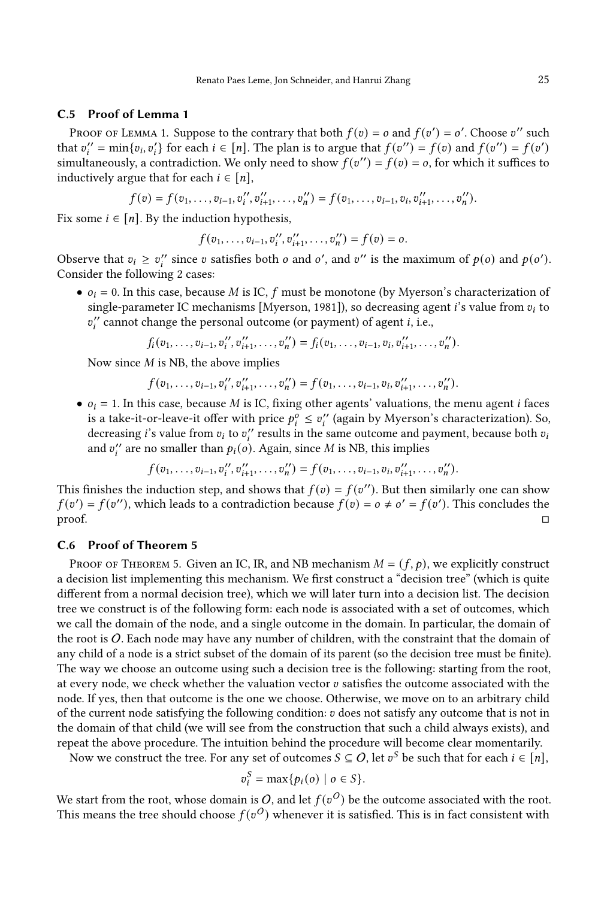#### C.5 Proof of Lemma [1](#page-13-0)

PROOF OF LEMMA [1.](#page-13-0) Suppose to the contrary that both  $f(v) = o$  and  $f(v') = o'$ . Choose v'' such that  $v''_i = \min\{v_i, v'_i\}$  for each  $i \in [n]$ . The plan is to argue that  $f(v'') = f(v)$  and  $f(v'') = f(v')$ simultaneously, a contradiction. We only need to show  $f(v'') = f(v) = o$ , for which it suffices to inductively argue that for each  $i \in [n]$ ,

$$
f(v) = f(v_1, \ldots, v_{i-1}, v_i'', v_{i+1}'', \ldots, v_n'') = f(v_1, \ldots, v_{i-1}, v_i, v_{i+1}'', \ldots, v_n'').
$$

Fix some  $i \in [n]$ . By the induction hypothesis,

$$
f(v_1,\ldots,v_{i-1},v_i'',v_{i+1}'',\ldots,v_n'')=f(v)=o.
$$

Observe that  $v_i \ge v''_i$  since v satisfies both o and o', and v'' is the maximum of  $p(o)$  and  $p(o')$ . Consider the following 2 cases:

•  $o_i = 0$ . In this case, because M is IC, f must be monotone (by Myerson's characterization of single-parameter IC mechanisms [\[Myerson, 1981\]](#page-19-33)), so decreasing agent *i*'s value from  $v_i$  to  $v''_i$  cannot change the personal outcome (or payment) of agent  $i$ , i.e.,

$$
f_i(v_1,\ldots,v_{i-1},v_i'',v_{i+1}'',\ldots,v_n'')=f_i(v_1,\ldots,v_{i-1},v_i,v_{i+1}'',\ldots,v_n'').
$$

Now since  $M$  is NB, the above implies

$$
f(v_1,\ldots,v_{i-1},v_i'',v_{i+1}'',\ldots,v_n'')=f(v_1,\ldots,v_{i-1},v_i,v_{i+1}'',\ldots,v_n'').
$$

•  $o_i = 1$ . In this case, because *M* is IC, fixing other agents' valuations, the menu agent *i* faces is a take-it-or-leave-it offer with price  $p_i^o \le v_i^o$  (again by Myerson's characterization). So, decreasing *i*'s value from  $v_i$  to  $v''_i$  results in the same outcome and payment, because both  $v_i$ and  $v_i^{\prime\prime}$  are no smaller than  $p_i(o)$ . Again, since M is NB, this implies

$$
f(v_1,\ldots,v_{i-1},v_i'',v_{i+1}'',\ldots,v_n'')=f(v_1,\ldots,v_{i-1},v_i,v_{i+1}'',\ldots,v_n'').
$$

This finishes the induction step, and shows that  $f(v) = f(v'')$ . But then similarly one can show  $f(v') = f(v'')$ , which leads to a contradiction because  $f(v) = o \neq o' = f(v')$ . This concludes the  $\Box$ 

## C.6 Proof of Theorem [5](#page-11-2)

PROOF OF THEOREM [5.](#page-11-2) Given an IC, IR, and NB mechanism  $M = (f, p)$ , we explicitly construct a decision list implementing this mechanism. We first construct a "decision tree" (which is quite different from a normal decision tree), which we will later turn into a decision list. The decision tree we construct is of the following form: each node is associated with a set of outcomes, which we call the domain of the node, and a single outcome in the domain. In particular, the domain of the root is  $O$ . Each node may have any number of children, with the constraint that the domain of any child of a node is a strict subset of the domain of its parent (so the decision tree must be finite). The way we choose an outcome using such a decision tree is the following: starting from the root, at every node, we check whether the valuation vector  $v$  satisfies the outcome associated with the node. If yes, then that outcome is the one we choose. Otherwise, we move on to an arbitrary child of the current node satisfying the following condition:  $v$  does not satisfy any outcome that is not in the domain of that child (we will see from the construction that such a child always exists), and repeat the above procedure. The intuition behind the procedure will become clear momentarily.

Now we construct the tree. For any set of outcomes  $S \subseteq O$ , let  $v^S$  be such that for each  $i \in [n]$ ,

$$
v_i^S = \max\{p_i(o) \mid o \in S\}.
$$

We start from the root, whose domain is O, and let  $f(v^O)$  be the outcome associated with the root. This means the tree should choose  $f(v^O)$  whenever it is satisfied. This is in fact consistent with